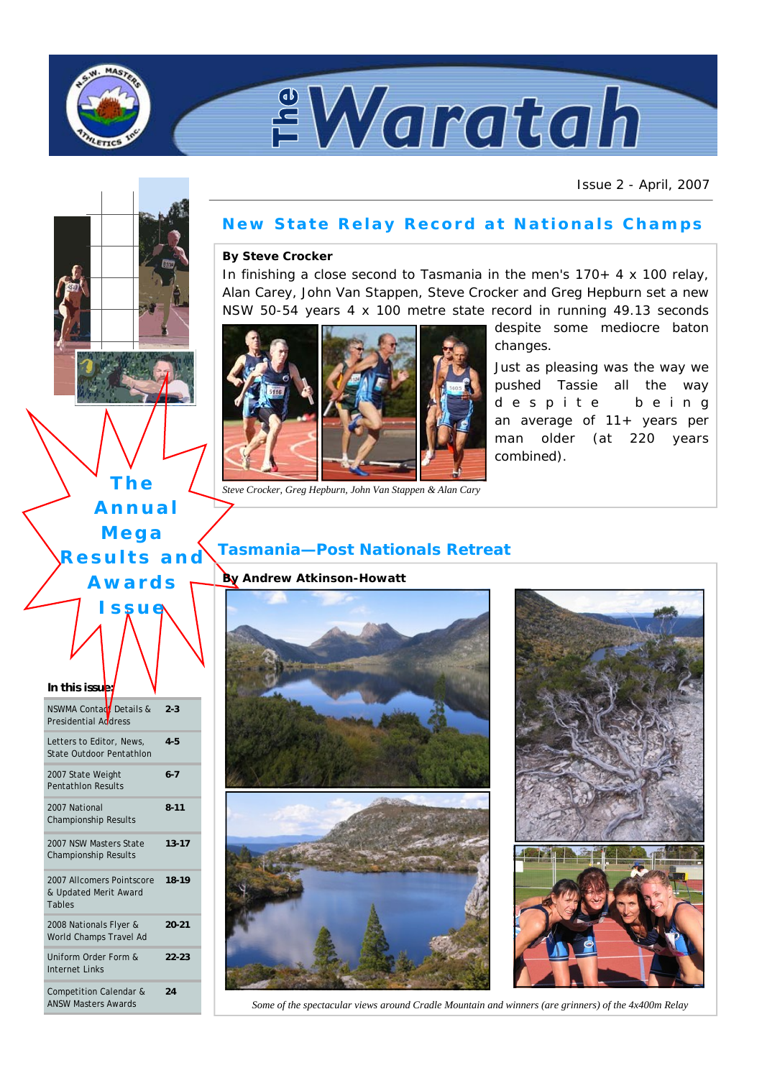



### Issue 2 - April, 2007

**The Annual** 

**Mega Results and** 

### **New State Relay Record at Nationals Champs**

### **By Steve Crocker**

In finishing a close second to Tasmania in the men's 170+ 4 x 100 relay, Alan Carey, John Van Stappen, Steve Crocker and Greg Hepburn set a new NSW 50-54 years 4 x 100 metre state record in running 49.13 seconds



*Steve Crocker, Greg Hepburn, John Van Stappen & Alan Cary* 

despite some mediocre baton changes.

Just as pleasing was the way we pushed Tassie all the way d e s p i t e b e i n g an average of 11+ years per man older (at 220 years combined).

### **Tasmania—Post Nationals Retreat**



ANSW Masters Awards

**By Andrew Atkinson-Howatt** 





*Some of the spectacular views around Cradle Mountain and winners (are grinners) of the 4x400m Relay*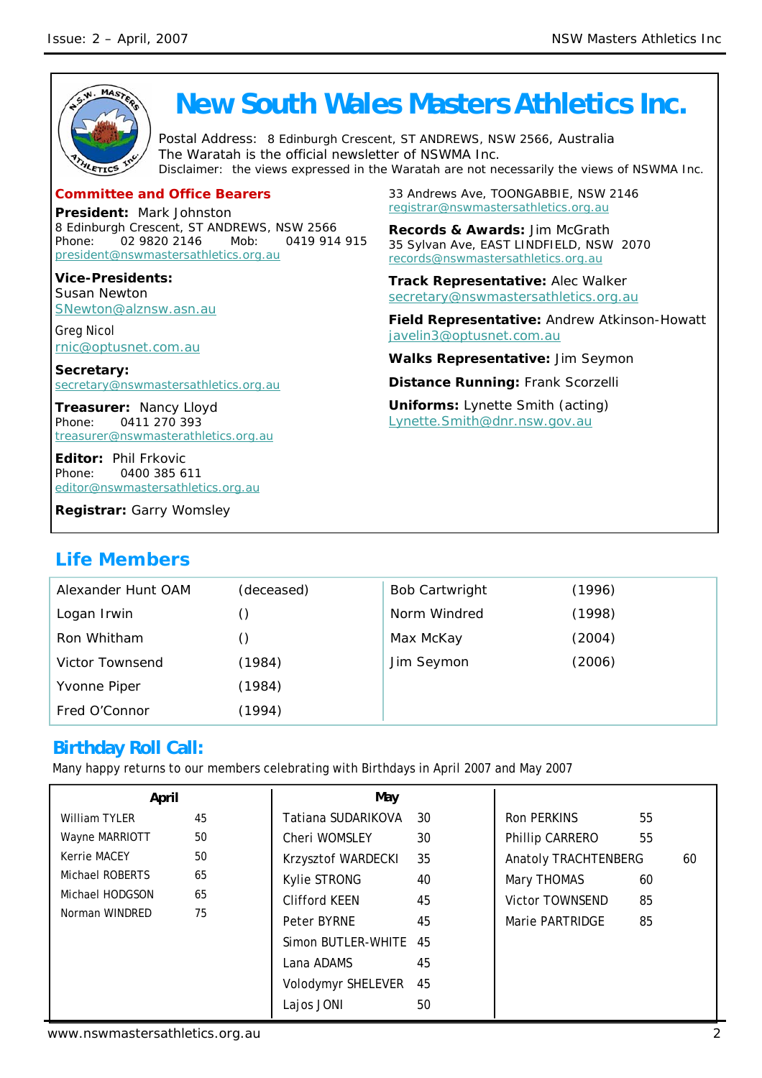| MAS <sub>7</sub><br>W<br>The Waratah is the official newsletter of NSWMA Inc.<br>MLETICS IN                                          | <b>New South Wales Masters Athletics Inc.</b><br>Postal Address: 8 Edinburgh Crescent, ST ANDREWS, NSW 2566, Australia<br>Disclaimer: the views expressed in the Waratah are not necessarily the views of NSWMA Inc. |
|--------------------------------------------------------------------------------------------------------------------------------------|----------------------------------------------------------------------------------------------------------------------------------------------------------------------------------------------------------------------|
| <b>Committee and Office Bearers</b><br><b>President: Mark Johnston</b>                                                               | 33 Andrews Ave, TOONGABBIE, NSW 2146<br>registrar@nswmastersathletics.org.au                                                                                                                                         |
| 8 Edinburgh Crescent, ST ANDREWS, NSW 2566<br>02 9820 2146<br>Mob:<br>0419 914 915<br>Phone:<br>president@nswmastersathletics.org.au | <b>Records &amp; Awards: Jim McGrath</b><br>35 Sylvan Ave, EAST LINDFIELD, NSW 2070<br>records@nswmastersathletics.org.au                                                                                            |
| <b>Vice-Presidents:</b><br><b>Susan Newton</b>                                                                                       | Track Representative: Alec Walker<br>secretary@nswmastersathletics.org.au                                                                                                                                            |
| SNewton@alznsw.asn.au<br><b>Greg Nicol</b>                                                                                           | Field Representative: Andrew Atkinson-Howatt<br>javelin3@optusnet.com.au                                                                                                                                             |
| rnic@optusnet.com.au<br>Secretary:                                                                                                   | Walks Representative: Jim Seymon                                                                                                                                                                                     |
| secretary@nswmastersathletics.org.au                                                                                                 | Distance Running: Frank Scorzelli                                                                                                                                                                                    |
| Treasurer: Nancy Lloyd<br>0411 270 393<br>Phone:<br>treasurer@nswmasterathletics.org.au                                              | <b>Uniforms:</b> Lynette Smith (acting)<br>Lynette.Smith@dnr.nsw.gov.au                                                                                                                                              |
| Editor: Phil Frkovic<br>0400 385 611<br>Phone:<br>editor@nswmastersathletics.org.au                                                  |                                                                                                                                                                                                                      |
| <b>Registrar: Garry Womsley</b>                                                                                                      |                                                                                                                                                                                                                      |

# **Life Members**

| Alexander Hunt OAM     | (deceased) | <b>Bob Cartwright</b> | (1996) |
|------------------------|------------|-----------------------|--------|
| Logan Irwin            |            | Norm Windred          | (1998) |
| Ron Whitham            |            | Max McKay             | (2004) |
| <b>Victor Townsend</b> | (1984)     | Jim Seymon            | (2006) |
| Yvonne Piper           | (1984)     |                       |        |
| Fred O'Connor          | (1994)     |                       |        |

# **Birthday Roll Call:**

Many happy returns to our members celebrating with Birthdays in April 2007 and May 2007

| April                  |    | May                   |    |                        |    |    |
|------------------------|----|-----------------------|----|------------------------|----|----|
| <b>William TYLER</b>   | 45 | Tatiana SUDARIKOVA    | 30 | Ron PERKINS            | 55 |    |
| Wayne MARRIOTT         | 50 | Cheri WOMSLEY         | 30 | Phillip CARRERO        | 55 |    |
| <b>Kerrie MACEY</b>    | 50 | Krzysztof WARDECKI    | 35 | Anatoly TRACHTENBERG   |    | 60 |
| <b>Michael ROBERTS</b> | 65 | <b>Kylie STRONG</b>   | 40 | Mary THOMAS            | 60 |    |
| Michael HODGSON        | 65 | <b>Clifford KEEN</b>  | 45 | <b>Victor TOWNSEND</b> | 85 |    |
| Norman WINDRED         | 75 | Peter BYRNE           | 45 | Marie PARTRIDGE        | 85 |    |
|                        |    | Simon BUTLER-WHITE 45 |    |                        |    |    |
|                        |    | Lana ADAMS            | 45 |                        |    |    |
|                        |    | Volodymyr SHELEVER    | 45 |                        |    |    |
|                        |    | Lajos JONI            | 50 |                        |    |    |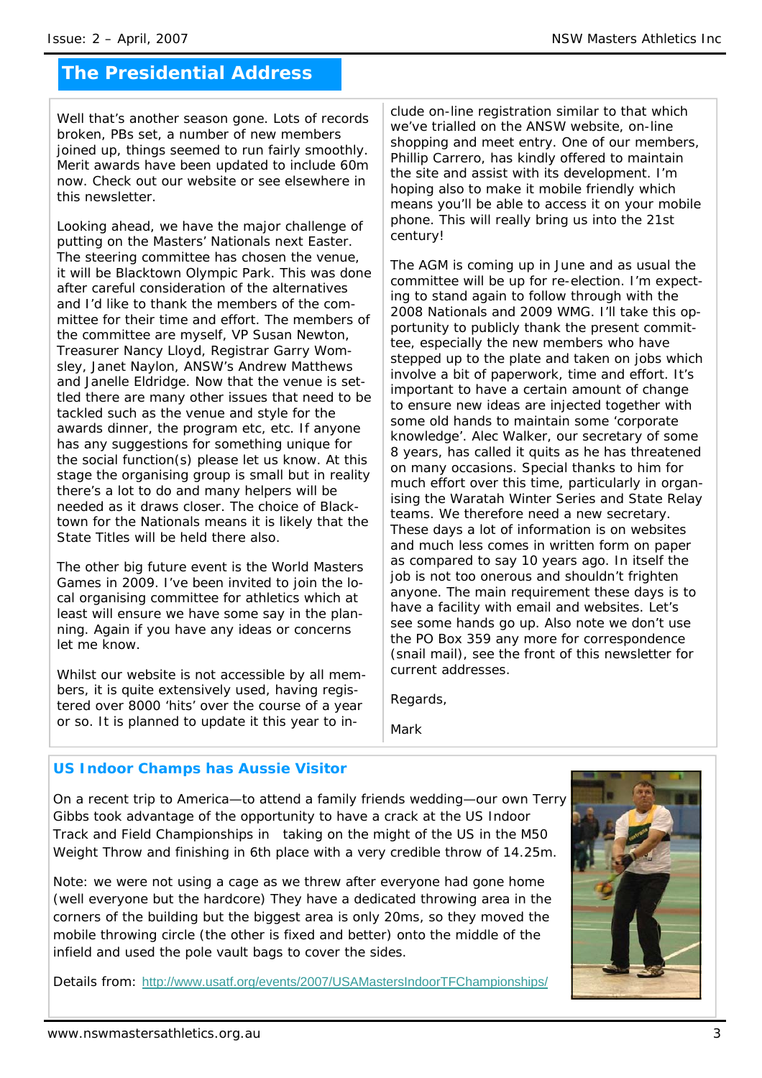# **The Presidential Address**

Well that's another season gone. Lots of records broken, PBs set, a number of new members joined up, things seemed to run fairly smoothly. Merit awards have been updated to include 60m now. Check out our website or see elsewhere in this newsletter.

Looking ahead, we have the major challenge of putting on the Masters' Nationals next Easter. The steering committee has chosen the venue, it will be Blacktown Olympic Park. This was done after careful consideration of the alternatives and I'd like to thank the members of the committee for their time and effort. The members of the committee are myself, VP Susan Newton, Treasurer Nancy Lloyd, Registrar Garry Womsley, Janet Naylon, ANSW's Andrew Matthews and Janelle Eldridge. Now that the venue is settled there are many other issues that need to be tackled such as the venue and style for the awards dinner, the program etc, etc. If anyone has any suggestions for something unique for the social function(s) please let us know. At this stage the organising group is small but in reality there's a lot to do and many helpers will be needed as it draws closer. The choice of Blacktown for the Nationals means it is likely that the State Titles will be held there also.

The other big future event is the World Masters Games in 2009. I've been invited to join the local organising committee for athletics which at least will ensure we have some say in the planning. Again if you have any ideas or concerns let me know.

Whilst our website is not accessible by all members, it is quite extensively used, having registered over 8000 'hits' over the course of a year or so. It is planned to update it this year to in-

clude on-line registration similar to that which we've trialled on the ANSW website, on-line shopping and meet entry. One of our members, Phillip Carrero, has kindly offered to maintain the site and assist with its development. I'm hoping also to make it mobile friendly which means you'll be able to access it on your mobile phone. This will really bring us into the 21st century!

The AGM is coming up in June and as usual the committee will be up for re-election. I'm expecting to stand again to follow through with the 2008 Nationals and 2009 WMG. I'll take this opportunity to publicly thank the present committee, especially the new members who have stepped up to the plate and taken on jobs which involve a bit of paperwork, time and effort. It's important to have a certain amount of change to ensure new ideas are injected together with some old hands to maintain some 'corporate knowledge'. Alec Walker, our secretary of some 8 years, has called it quits as he has threatened on many occasions. Special thanks to him for much effort over this time, particularly in organising the Waratah Winter Series and State Relay teams. We therefore need a new secretary. These days a lot of information is on websites and much less comes in written form on paper as compared to say 10 years ago. In itself the job is not too onerous and shouldn't frighten anyone. The main requirement these days is to have a facility with email and websites. Let's see some hands go up. Also note we don't use the PO Box 359 any more for correspondence (snail mail), see the front of this newsletter for current addresses.

Regards,

Mark

### **US Indoor Champs has Aussie Visitor**

On a recent trip to America—to attend a family friends wedding—our own Terry Gibbs took advantage of the opportunity to have a crack at the US Indoor Track and Field Championships in taking on the might of the US in the M50 Weight Throw and finishing in 6th place with a very credible throw of 14.25m.

Note: we were not using a cage as we threw after everyone had gone home (well everyone but the hardcore) They have a dedicated throwing area in the corners of the building but the biggest area is only 20ms, so they moved the mobile throwing circle (the other is fixed and better) onto the middle of the infield and used the pole vault bags to cover the sides.

Details from: http://www.usatf.org/events/2007/USAMastersIndoorTFChampionships/

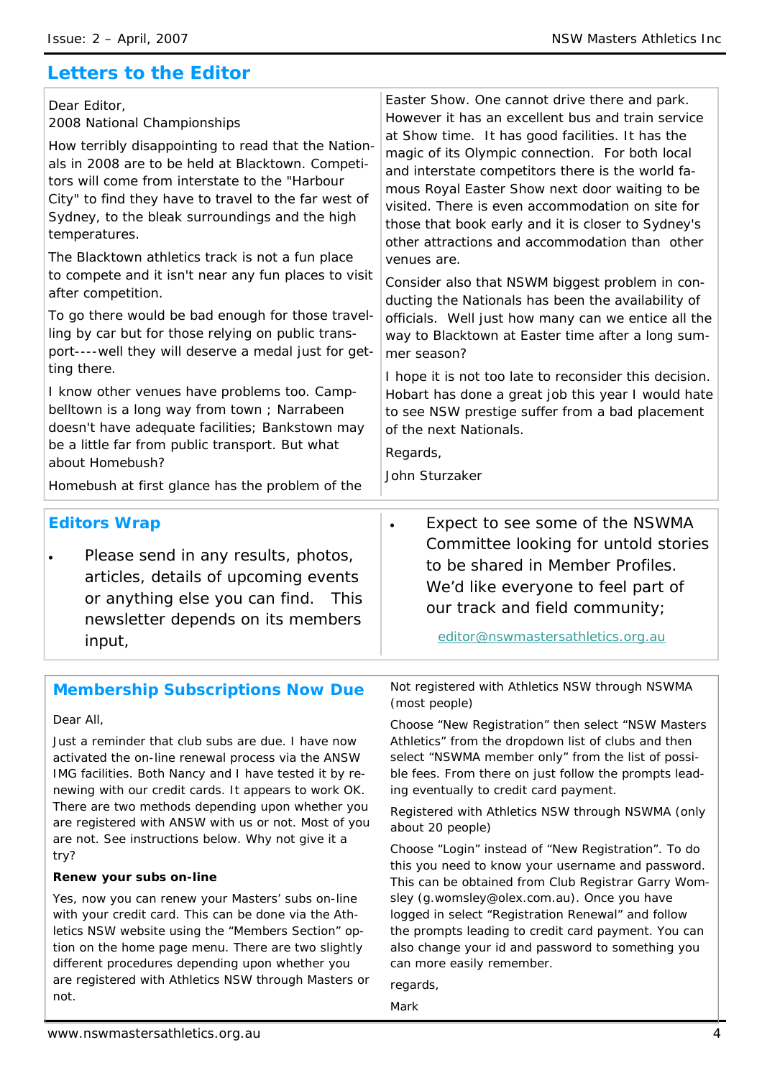# **Letters to the Editor**

| Dear Editor,<br>2008 National Championships<br>How terribly disappointing to read that the Nation-<br>als in 2008 are to be held at Blacktown. Competi-<br>tors will come from interstate to the "Harbour<br>City" to find they have to travel to the far west of<br>Sydney, to the bleak surroundings and the high<br>temperatures.<br>The Blacktown athletics track is not a fun place<br>to compete and it isn't near any fun places to visit<br>after competition.<br>To go there would be bad enough for those travel-<br>ling by car but for those relying on public trans-<br>port----well they will deserve a medal just for get-<br>ting there.<br>I know other venues have problems too. Camp-<br>belltown is a long way from town ; Narrabeen<br>doesn't have adequate facilities; Bankstown may<br>be a little far from public transport. But what<br>about Homebush? | Easter Show. One cannot drive there and park.<br>However it has an excellent bus and train service<br>at Show time. It has good facilities. It has the<br>magic of its Olympic connection. For both local<br>and interstate competitors there is the world fa-<br>mous Royal Easter Show next door waiting to be<br>visited. There is even accommodation on site for<br>those that book early and it is closer to Sydney's<br>other attractions and accommodation than other<br>venues are.<br>Consider also that NSWM biggest problem in con-<br>ducting the Nationals has been the availability of<br>officials. Well just how many can we entice all the<br>way to Blacktown at Easter time after a long sum-<br>mer season?<br>I hope it is not too late to reconsider this decision.<br>Hobart has done a great job this year I would hate<br>to see NSW prestige suffer from a bad placement<br>of the next Nationals.<br>Regards, |
|-----------------------------------------------------------------------------------------------------------------------------------------------------------------------------------------------------------------------------------------------------------------------------------------------------------------------------------------------------------------------------------------------------------------------------------------------------------------------------------------------------------------------------------------------------------------------------------------------------------------------------------------------------------------------------------------------------------------------------------------------------------------------------------------------------------------------------------------------------------------------------------|------------------------------------------------------------------------------------------------------------------------------------------------------------------------------------------------------------------------------------------------------------------------------------------------------------------------------------------------------------------------------------------------------------------------------------------------------------------------------------------------------------------------------------------------------------------------------------------------------------------------------------------------------------------------------------------------------------------------------------------------------------------------------------------------------------------------------------------------------------------------------------------------------------------------------------------|
| Homebush at first glance has the problem of the                                                                                                                                                                                                                                                                                                                                                                                                                                                                                                                                                                                                                                                                                                                                                                                                                                   | John Sturzaker                                                                                                                                                                                                                                                                                                                                                                                                                                                                                                                                                                                                                                                                                                                                                                                                                                                                                                                           |
| <b>Editors Wrap</b>                                                                                                                                                                                                                                                                                                                                                                                                                                                                                                                                                                                                                                                                                                                                                                                                                                                               | Expect to see some of the NSWMA<br>$\bullet$<br>Committee looking for untold stories                                                                                                                                                                                                                                                                                                                                                                                                                                                                                                                                                                                                                                                                                                                                                                                                                                                     |
| Please send in any results, photos,                                                                                                                                                                                                                                                                                                                                                                                                                                                                                                                                                                                                                                                                                                                                                                                                                                               | to be shared in Member Profiles.                                                                                                                                                                                                                                                                                                                                                                                                                                                                                                                                                                                                                                                                                                                                                                                                                                                                                                         |

articles, details of upcoming events or anything else you can find. This newsletter depends on its members input,

## **Membership Subscriptions Now Due**

### Dear All,

Just a reminder that club subs are due. I have now activated the on-line renewal process via the ANSW IMG facilities. Both Nancy and I have tested it by renewing with our credit cards. It appears to work OK. There are two methods depending upon whether you are registered with ANSW with us or not. Most of you are not. See instructions below. Why not give it a try?

### **Renew your subs on-line**

Yes, now you can renew your Masters' subs on-line with your credit card. This can be done via the Athletics NSW website using the "Members Section" option on the home page menu. There are two slightly different procedures depending upon whether you are registered with Athletics NSW through Masters or not.

Not registered with Athletics NSW through NSWMA (most people)

We'd like everyone to feel part of our track and field community;

editor@nswmastersathletics.org.au

Choose "New Registration" then select "NSW Masters Athletics" from the dropdown list of clubs and then select "NSWMA member only" from the list of possible fees. From there on just follow the prompts leading eventually to credit card payment.

Registered with Athletics NSW through NSWMA (only about 20 people)

Choose "Login" instead of "New Registration". To do this you need to know your username and password. This can be obtained from Club Registrar Garry Womsley (g.womsley@olex.com.au). Once you have logged in select "Registration Renewal" and follow the prompts leading to credit card payment. You can also change your id and password to something you can more easily remember.

regards,

Mark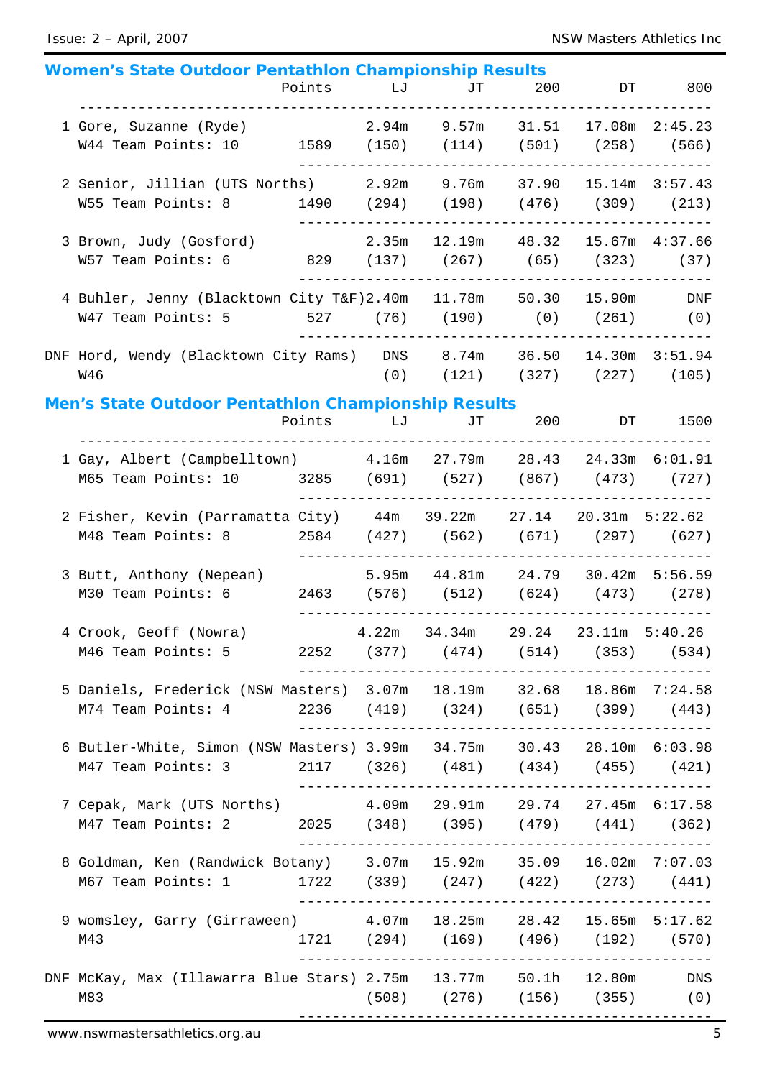| <b>Women's State Outdoor Pentathlon Championship Results</b>                                                                   | Points | LJ    | <b>JT</b>                             |                      | 200 DT 800  |
|--------------------------------------------------------------------------------------------------------------------------------|--------|-------|---------------------------------------|----------------------|-------------|
| 1 Gore, Suzanne (Ryde) 2.94m 9.57m 31.51 17.08m 2:45.23                                                                        |        |       |                                       |                      |             |
| W44 Team Points: 10 1589 (150) (114) (501) (258) (566)                                                                         |        |       |                                       |                      |             |
| 2 Senior, Jillian (UTS Norths) 2.92m 9.76m 37.90 15.14m 3:57.43<br>W55 Team Points: 8 1490 (294) (198) (476) (309) (213)       |        |       |                                       |                      |             |
| 3 Brown, Judy (Gosford) 2.35m 12.19m 48.32 15.67m 4:37.66<br>W57 Team Points: 6 829 (137) (267) (65) (323) (37)                |        |       |                                       |                      |             |
| 4 Buhler, Jenny (Blacktown City T&F) 2.40m  11.78m  50.30  15.90m  DNF<br>W47 Team Points: 5 527 (76) (190) (0) (261) (0)      |        |       |                                       |                      |             |
| DNF Hord, Wendy (Blacktown City Rams) DNS 8.74m 36.50 14.30m 3:51.94<br><b>W46</b>                                             |        |       | $(0)$ $(121)$ $(327)$ $(227)$ $(105)$ |                      |             |
| <b>Men's State Outdoor Pentathlon Championship Results</b>                                                                     |        |       | Points LJ JT                          |                      | 200 DT 1500 |
| 1 Gay, Albert (Campbelltown) 4.16m 27.79m 28.43 24.33m 6:01.91<br>M65 Team Points: 10 3285 (691) (527) (867) (473) (727)       |        |       |                                       |                      |             |
| 2 Fisher, Kevin (Parramatta City) 44m 39.22m 27.14 20.31m 5:22.62<br>M48 Team Points: 8 2584 (427) (562) (671) (297) (627)     |        |       |                                       |                      |             |
| 3 Butt, Anthony (Nepean)<br>M30 Team Points: 6 2463 (576) (512) (624) (473) (278)                                              |        |       | 5.95m  44.81m  24.79  30.42m  5:56.59 |                      |             |
| 4 Crook, Geoff (Nowra)<br>M46 Team Points: 5 2252 (377) (474) (514) (353) (534)                                                |        | 4.22m | 34.34m                                | 29.24 23.11m 5:40.26 |             |
| 5 Daniels, Frederick (NSW Masters) 3.07m 18.19m 32.68 18.86m 7:24.58<br>M74 Team Points: 4 2236 (419) (324) (651) (399) (443)  |        |       |                                       |                      |             |
| 6 Butler-White, Simon (NSW Masters) 3.99m 34.75m 30.43 28.10m 6:03.98<br>M47 Team Points: 3 2117 (326) (481) (434) (455) (421) |        |       |                                       |                      |             |
| 7 Cepak, Mark (UTS Norths) 4.09m 29.91m 29.74 27.45m 6:17.58<br>M47 Team Points: 2 2025 (348) (395) (479) (441) (362)          |        |       |                                       |                      |             |
| 8 Goldman, Ken (Randwick Botany) 3.07m 15.92m 35.09 16.02m 7:07.03<br>M67 Team Points: 1 1722 (339) (247) (422) (273) (441)    |        |       |                                       |                      |             |
| 9 womsley, Garry (Girraween) 4.07m 18.25m 28.42 15.65m 5:17.62<br>M43                                                          |        |       | 1721 (294) (169) (496) (192) (570)    |                      |             |
| DNF McKay, Max (Illawarra Blue Stars) 2.75m  13.77m  50.1h  12.80m  DNS<br>M83                                                 |        |       | $(508)$ $(276)$ $(156)$ $(355)$ $(0)$ |                      |             |

-------------------------------------------------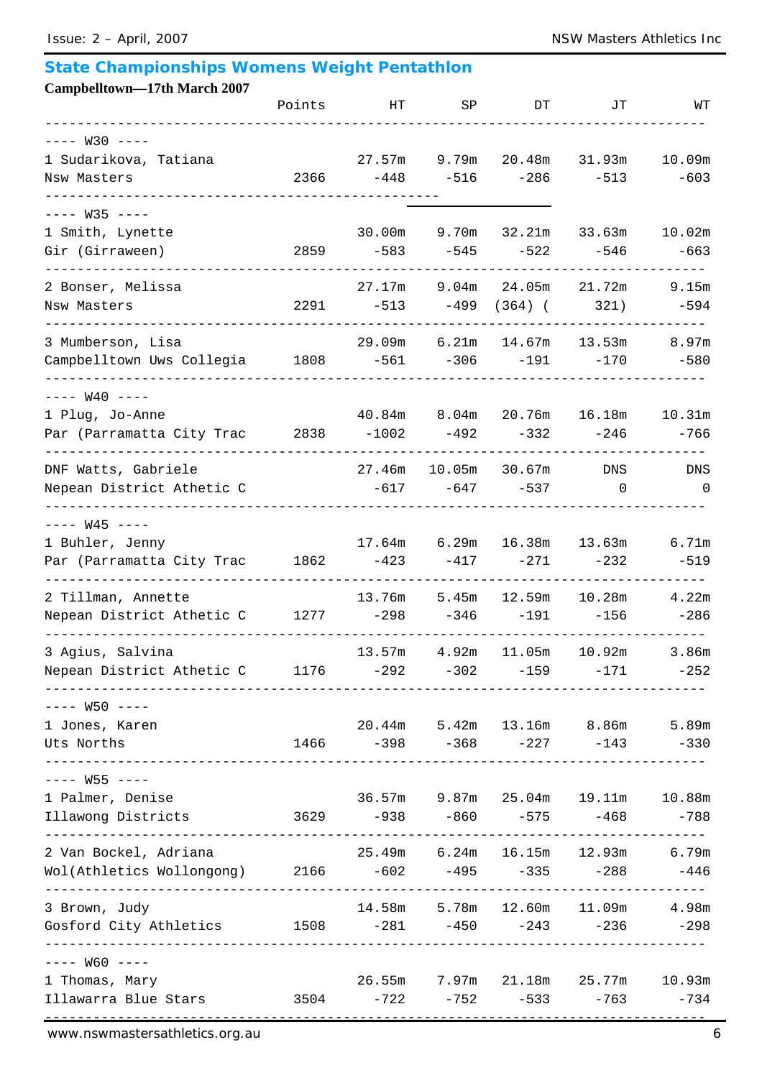# **State Championships Womens Weight Pentathlon**

| Campbelltown-17th March 2007<br>---------------------------------                                                                                | Points |                             |                          | HT SP DT JT WT                                                               |              |
|--------------------------------------------------------------------------------------------------------------------------------------------------|--------|-----------------------------|--------------------------|------------------------------------------------------------------------------|--------------|
| $-- W30$ $---$<br>1 Sudarikova, Tatiana<br>Nsw Masters                                                                                           |        | $2366$ $-448$ $-516$ $-286$ |                          | 27.57m 9.79m 20.48m 31.93m 10.09m                                            | $-513 - 603$ |
| $-- W35$ $---$<br>1 Smith, Lynette<br>Gir (Girraween)                                                                                            |        |                             |                          | 30.00m 9.70m 32.21m 33.63m 10.02m                                            |              |
| 2 Bonser, Melissa<br>Nsw Masters                                                                                                                 |        |                             |                          | 27.17m 9.04m 24.05m 21.72m 9.15m<br>2291 -513 -499 (364) (321) -594          |              |
| __________________________________<br>3 Mumberson, Lisa<br>Campbelltown Uws Collegia 1808 -561 -306 -191 -170 -580<br>_________________          |        |                             |                          | 29.09m 6.21m 14.67m 13.53m 8.97m                                             |              |
| $-- W40$ $---$<br>1 Plug, Jo-Anne<br>Par (Parramatta City Trac $2838$ -1002 -492 -332 -246 -766<br>--------------                                |        |                             | ________________________ | $40.84$ m $8.04$ m $20.76$ m $16.18$ m $10.31$ m                             |              |
| DNF Watts, Gabriele<br>Nepean District Athetic C                                                                                                 |        | $-617$ $-647$ $-537$ 0      |                          | 27.46m  10.05m  30.67m  DNS  DNS                                             | $\sim$ 0     |
| $-- W45$ $---$<br>1 Buhler, Jenny<br>Par (Parramatta City Trac 1862 -423 -417 -271 -232 -519                                                     |        |                             |                          | 17.64m 6.29m 16.38m 13.63m 6.71m                                             |              |
| 2 Tillman, Annette<br>Nepean District Athetic C $1277$ -298 -346 -191 -156 -286                                                                  |        |                             |                          | 13.76m 5.45m 12.59m 10.28m 4.22m                                             |              |
| 3 Agius, Salvina                         13.57m     4.92m   11.05m   10.92m     3.86m<br>Nepean District Athetic C 1176 -292 -302 -159 -171 -252 |        |                             |                          |                                                                              |              |
| $---$ W50 $---$<br>1 Jones, Karen<br>Uts Norths                                                                                                  |        |                             |                          | 20.44m 5.42m 13.16m 8.86m 5.89m<br>$1466$ $-398$ $-368$ $-227$ $-143$ $-330$ |              |
| $---$ W55 $---$<br>1 Palmer, Denise                                                                                                              |        |                             |                          | 36.57m 9.87m 25.04m 19.11m 10.88m                                            |              |
| 2 Van Bockel, Adriana<br>Wol(Athletics Wollongong) 2166 -602 -495 -335 -288 -446                                                                 |        |                             |                          | 25.49m 6.24m 16.15m 12.93m 6.79m                                             |              |
| 3 Brown, Judy<br>Gosford City Athletics 		 1508 		 -281 		 -450 		 -243 		 -236 		 -298                                                          |        |                             |                          | 14.58m 5.78m 12.60m 11.09m 4.98m                                             |              |
| $---$ W60 $---$<br>1 Thomas, Mary                                                                                                                |        |                             |                          | 26.55m 7.97m 21.18m 25.77m 10.93m                                            |              |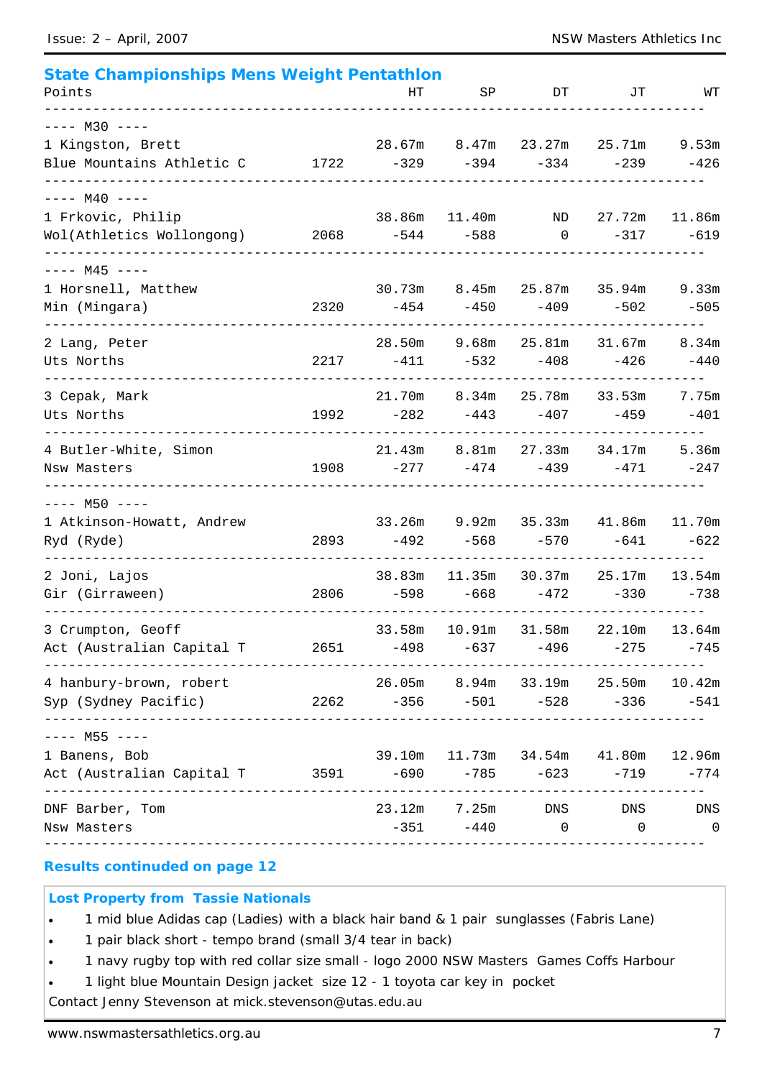| <b>State Championships Mens Weight Pentathlon</b>         |                                           |                                           |                 |                |                                        |                |
|-----------------------------------------------------------|-------------------------------------------|-------------------------------------------|-----------------|----------------|----------------------------------------|----------------|
| Points                                                    |                                           | HТ                                        | SP              | DT             | JT                                     | WТ             |
| $---$ M30 $---$                                           |                                           |                                           |                 |                |                                        |                |
| 1 Kingston, Brett                                         |                                           |                                           |                 |                | 28.67m 8.47m 23.27m 25.71m             | 9.53m          |
| Blue Mountains Athletic C $1722$ -329 -394 -334 -239 -426 |                                           |                                           |                 |                |                                        |                |
|                                                           |                                           |                                           |                 |                |                                        |                |
| $---$ M40 $---$                                           |                                           |                                           |                 |                |                                        |                |
| 1 Frkovic, Philip                                         |                                           |                                           |                 |                | 38.86m 11.40m ND 27.72m 11.86m         |                |
| Wol(Athletics Wollongong) $2068$ -544 -588                |                                           |                                           |                 | $\overline{0}$ |                                        | $-317$ $-619$  |
| $--- M45 ---$                                             |                                           |                                           |                 |                |                                        |                |
| 1 Horsnell, Matthew                                       |                                           |                                           |                 |                | $30.73m$ $8.45m$ $25.87m$ $35.94m$     | 9.33m          |
| Min (Mingara)                                             |                                           | $2320$ $-454$ $-450$ $-409$ $-502$ $-505$ |                 |                |                                        |                |
| 2 Lang, Peter                                             |                                           | 28.50m                                    | 9.68m           |                | 25.81m 31.67m                          | 8.34m          |
| Uts Norths                                                |                                           | $2217$ $-411$ $-532$ $-408$ $-426$ $-440$ |                 |                |                                        |                |
|                                                           |                                           |                                           |                 |                |                                        |                |
| 3 Cepak, Mark                                             |                                           |                                           |                 |                | 21.70m 8.34m 25.78m 33.53m 7.75m       |                |
| Uts Norths                                                |                                           | $1992 -282 -443$                          |                 |                | $-407$ $-459$ $-401$                   |                |
| 4 Butler-White, Simon                                     |                                           |                                           |                 |                | 21.43m 8.81m 27.33m 34.17m             | 5.36m          |
| Nsw Masters                                               |                                           | $1908$ $-277$ $-474$ $-439$ $-471$ $-247$ |                 |                |                                        |                |
|                                                           |                                           |                                           |                 |                |                                        |                |
| $--- M50 ---$                                             |                                           |                                           |                 |                |                                        |                |
| 1 Atkinson-Howatt, Andrew                                 |                                           |                                           | $33.26m$ 9.92m  |                | 35.33m 41.86m                          | 11.70m         |
| Ryd (Ryde)                                                | 2893                                      | $-492 -568$                               |                 | $-570$ $-641$  |                                        | $-622$         |
| 2 Joni, Lajos                                             |                                           | 38.83m                                    |                 |                | 11.35m 30.37m 25.17m                   | 13.54m         |
| Gir (Girraween)                                           | 2806                                      | $-598$                                    | -668            |                | $-472 -330 -738$                       |                |
|                                                           |                                           |                                           |                 |                |                                        |                |
| 3 Crumpton, Geoff                                         |                                           | 33.58m                                    | 10.91m          | 31.58m         | 22.10m                                 | 13.64m         |
|                                                           |                                           |                                           |                 |                |                                        |                |
| 4 hanbury-brown, robert                                   |                                           | 26.05m 8.94m 33.19m 25.50m 10.42m         |                 |                |                                        |                |
| Syp (Sydney Pacific)                                      | $2262$ $-356$ $-501$ $-528$ $-336$ $-541$ |                                           |                 |                |                                        |                |
| $---$ M55 $---$                                           |                                           |                                           |                 |                |                                        |                |
| 1 Banens, Bob                                             |                                           |                                           |                 |                | 39.10m  11.73m  34.54m  41.80m  12.96m |                |
| Act (Australian Capital T 3591 -690 -785 -623 -719 -774   |                                           |                                           |                 |                |                                        |                |
|                                                           |                                           |                                           |                 |                |                                        |                |
| DNF Barber, Tom                                           |                                           |                                           |                 |                | 23.12m 7.25m DNS DNS DNS               |                |
| Nsw Masters                                               |                                           |                                           | $-351$ $-440$ 0 |                | $\mathbf 0$                            | $\overline{0}$ |
|                                                           |                                           |                                           |                 |                |                                        |                |

### *Results continuded on page 12*

### **Lost Property from Tassie Nationals**

- 1 mid blue Adidas cap (Ladies) with a black hair band & 1 pair sunglasses (Fabris Lane)
- 1 pair black short tempo brand (small 3/4 tear in back)
- 1 navy rugby top with red collar size small logo 2000 NSW Masters Games Coffs Harbour
- 1 light blue Mountain Design jacket size 12 1 toyota car key in pocket

Contact Jenny Stevenson at mick.stevenson@utas.edu.au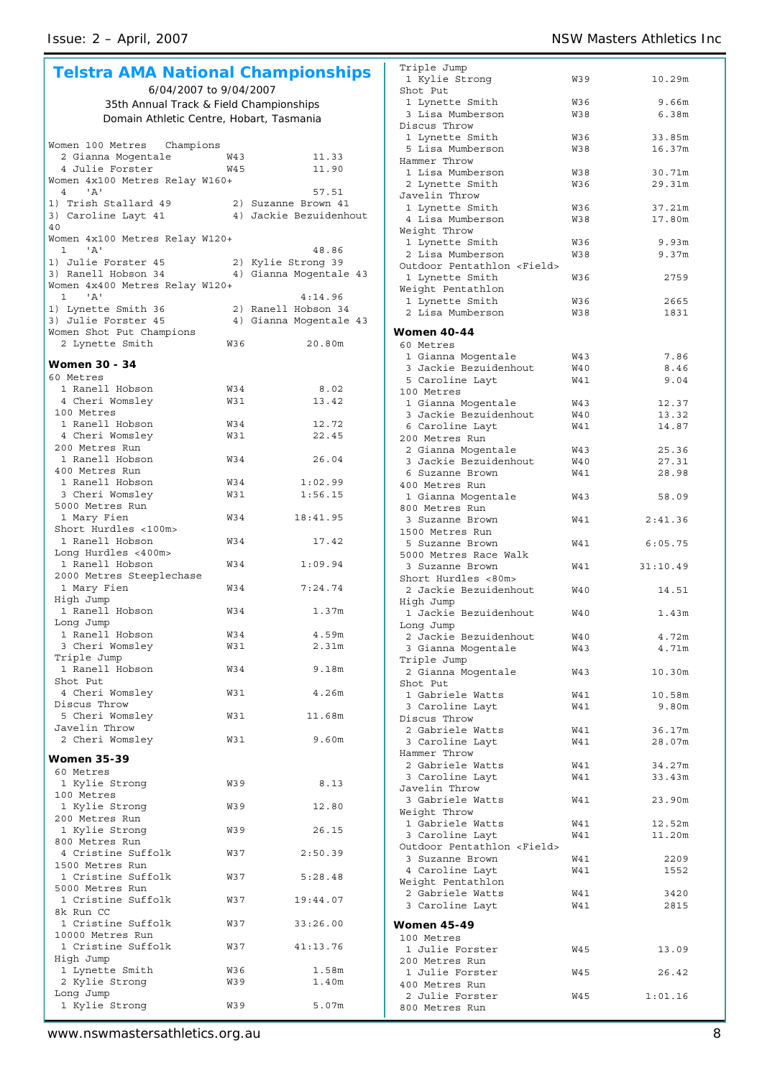| <b>Telstra AMA National Championships</b>   |            |                                               | Triple Jump                                           |                   |                  |
|---------------------------------------------|------------|-----------------------------------------------|-------------------------------------------------------|-------------------|------------------|
|                                             |            |                                               | 1 Kylie Strong                                        | W39               | 10.29m           |
| 6/04/2007 to 9/04/2007                      |            |                                               | Shot Put<br>1 Lynette Smith                           | W36               | 9.66m            |
| 35th Annual Track & Field Championships     |            |                                               | 3 Lisa Mumberson                                      | <b>W38</b>        | 6.38m            |
| Domain Athletic Centre, Hobart, Tasmania    |            |                                               | Discus Throw                                          |                   |                  |
| Women 100 Metres                            |            |                                               | 1 Lynette Smith                                       | W36               | 33.85m           |
| Champions<br>2 Gianna Mogentale             | <b>W43</b> | 11.33                                         | 5 Lisa Mumberson                                      | <b>W38</b>        | 16.37m           |
| 4 Julie Forster                             | W45        | 11.90                                         | Hammer Throw<br>1 Lisa Mumberson                      | W38               | 30.71m           |
| Women 4x100 Metres Relay W160+              |            |                                               | 2 Lynette Smith                                       | W36               | 29.31m           |
| $^{\prime}$ A $^{\prime}$<br>4              |            | 57.51                                         | Javelin Throw                                         |                   |                  |
| 1) Trish Stallard 49<br>3) Caroline Layt 41 |            | 2) Suzanne Brown 41<br>4) Jackie Bezuidenhout | 1 Lynette Smith                                       | W36               | 37.21m           |
| 40                                          |            |                                               | 4 Lisa Mumberson<br>Weight Throw                      | <b>W38</b>        | 17.80m           |
| Women 4x100 Metres Relay W120+              |            |                                               | 1 Lynette Smith                                       | W36               | 9.93m            |
| 1<br>' A'                                   |            | 48.86                                         | 2 Lisa Mumberson                                      | <b>W38</b>        | 9.37m            |
| 1) Julie Forster 45<br>3) Ranell Hobson 34  |            | 2) Kylie Strong 39<br>4) Gianna Mogentale 43  | Outdoor Pentathlon <field></field>                    |                   |                  |
| Women 4x400 Metres Relay W120+              |            |                                               | 1 Lynette Smith                                       | W36               | 2759             |
| $1 \quad$<br>' A'                           |            | 4:14.96                                       | Weight Pentathlon<br>1 Lynette Smith                  | W36               | 2665             |
| 1) Lynette Smith 36                         |            | 2) Ranell Hobson 34                           | 2 Lisa Mumberson                                      | W38               | 1831             |
| 3) Julie Forster 45                         |            | 4) Gianna Mogentale 43                        |                                                       |                   |                  |
| Women Shot Put Champions<br>2 Lynette Smith | W36        | 20.80m                                        | <b>Women 40-44</b><br>60 Metres                       |                   |                  |
|                                             |            |                                               | 1 Gianna Mogentale                                    | W43               | 7.86             |
| <b>Women 30 - 34</b>                        |            |                                               | 3 Jackie Bezuidenhout                                 | <b>W40</b>        | 8.46             |
| 60 Metres                                   |            | 8.02                                          | 5 Caroline Layt                                       | W41               | 9.04             |
| 1 Ranell Hobson<br>4 Cheri Womsley          | W34<br>W31 | 13.42                                         | 100 Metres                                            | <b>W43</b>        |                  |
| 100 Metres                                  |            |                                               | 1 Gianna Mogentale<br>3 Jackie Bezuidenhout           | <b>W40</b>        | 12.37<br>13.32   |
| 1 Ranell Hobson                             | W34        | 12.72                                         | 6 Caroline Layt                                       | W41               | 14.87            |
| 4 Cheri Womsley                             | W31        | 22.45                                         | 200 Metres Run                                        |                   |                  |
| 200 Metres Run<br>1 Ranell Hobson           | W34        | 26.04                                         | 2 Gianna Mogentale                                    | <b>W43</b>        | 25.36            |
| 400 Metres Run                              |            |                                               | 3 Jackie Bezuidenhout<br>6 Suzanne Brown              | <b>W40</b><br>W41 | 27.31<br>28.98   |
| 1 Ranell Hobson                             | W34        | 1:02.99                                       | 400 Metres Run                                        |                   |                  |
| 3 Cheri Womsley                             | W31        | 1:56.15                                       | 1 Gianna Mogentale                                    | W43               | 58.09            |
| 5000 Metres Run                             | W34        | 18:41.95                                      | 800 Metres Run                                        |                   |                  |
| 1 Mary Fien<br>Short Hurdles <100m>         |            |                                               | 3 Suzanne Brown<br>1500 Metres Run                    | W4 1              | 2:41.36          |
| 1 Ranell Hobson                             | W34        | 17.42                                         | 5 Suzanne Brown                                       | W41               | 6:05.75          |
| Long Hurdles <400m>                         |            |                                               | 5000 Metres Race Walk                                 |                   |                  |
| 1 Ranell Hobson                             | <b>W34</b> | 1:09.94                                       | 3 Suzanne Brown                                       | W4 1              | 31:10.49         |
| 2000 Metres Steeplechase<br>1 Mary Fien     | W34        | 7:24.74                                       | Short Hurdles <80m><br>2 Jackie Bezuidenhout          | W4 0              | 14.51            |
| High Jump                                   |            |                                               | High Jump                                             |                   |                  |
| 1 Ranell Hobson                             | W34        | 1.37m                                         | 1 Jackie Bezuidenhout                                 | <b>W40</b>        | 1.43m            |
| Long Jump<br>1 Ranell Hobson                |            |                                               | Long Jump                                             |                   |                  |
| 3 Cheri Womsley                             | W34<br>W31 | 4.59m<br>2.31m                                | 2 Jackie Bezuidenhout                                 | W40               | 4.72m            |
| Triple Jump                                 |            |                                               | 3 Gianna Mogentale<br>Triple Jump                     | <b>W43</b>        | 4.71m            |
| 1 Ranell Hobson                             | W34        | 9.18m                                         | 2 Gianna Mogentale                                    | W43               | 10.30m           |
| Shot Put                                    |            |                                               | Shot Put                                              |                   |                  |
| 4 Cheri Womsley<br>Discus Throw             | W31        | 4.26m                                         | 1 Gabriele Watts                                      | W4 1              | 10.58m           |
| 5 Cheri Womsley                             | W31        | 11.68m                                        | 3 Caroline Layt<br>Discus Throw                       | W41               | 9.80m            |
| Javelin Throw                               |            |                                               | 2 Gabriele Watts                                      | W41               | 36.17m           |
| 2 Cheri Womsley                             | W31        | 9.60m                                         | 3 Caroline Layt                                       | W4 1              | 28.07m           |
| <b>Women 35-39</b>                          |            |                                               | Hammer Throw                                          |                   |                  |
| 60 Metres                                   |            |                                               | 2 Gabriele Watts<br>3 Caroline Layt                   | W4 1<br>W41       | 34.27m<br>33.43m |
| 1 Kylie Strong                              | W39        | 8.13                                          | Javelin Throw                                         |                   |                  |
| 100 Metres                                  |            |                                               | 3 Gabriele Watts                                      | W4 1              | 23.90m           |
| 1 Kylie Strong<br>200 Metres Run            | W39        | 12.80                                         | Weight Throw                                          |                   |                  |
| 1 Kylie Strong                              | W39        | 26.15                                         | 1 Gabriele Watts                                      | W4 1<br>W41       | 12.52m           |
| 800 Metres Run                              |            |                                               | 3 Caroline Layt<br>Outdoor Pentathlon <field></field> |                   | 11.20m           |
| 4 Cristine Suffolk                          | W37        | 2:50.39                                       | 3 Suzanne Brown                                       | W41               | 2209             |
| 1500 Metres Run<br>1 Cristine Suffolk       | W37        | 5:28.48                                       | 4 Caroline Layt                                       | W41               | 1552             |
| 5000 Metres Run                             |            |                                               | Weight Pentathlon                                     |                   |                  |
| 1 Cristine Suffolk                          | W37        | 19:44.07                                      | 2 Gabriele Watts<br>3 Caroline Layt                   | W4 1<br>W4 1      | 3420<br>2815     |
| 8k Run CC                                   |            |                                               |                                                       |                   |                  |
| 1 Cristine Suffolk<br>10000 Metres Run      | W37        | 33:26.00                                      | <b>Women 45-49</b>                                    |                   |                  |
| 1 Cristine Suffolk                          | W37        | 41:13.76                                      | 100 Metres<br>1 Julie Forster                         | W45               | 13.09            |
| High Jump                                   |            |                                               | 200 Metres Run                                        |                   |                  |
| 1 Lynette Smith                             | W36        | 1.58m                                         | 1 Julie Forster                                       | <b>W45</b>        | 26.42            |
| 2 Kylie Strong<br>Long Jump                 | W39        | 1.40m                                         | 400 Metres Run<br>2 Julie Forster                     | W45               | 1:01.16          |
|                                             |            |                                               |                                                       |                   |                  |

|                                       |            |                        | 1 Lynette Smith                              | W36        | 33.85m   |
|---------------------------------------|------------|------------------------|----------------------------------------------|------------|----------|
| Women 100 Metres Champions            |            |                        | 5 Lisa Mumberson                             | <b>W38</b> | 16.37m   |
| 2 Gianna Mogentale                    | <b>W43</b> | 11.33                  | Hammer Throw                                 |            |          |
| 4 Julie Forster                       | <b>W45</b> | 11.90                  | 1 Lisa Mumberson                             | W38        | 30.71m   |
| Women 4x100 Metres Relay W160+        |            |                        | 2 Lynette Smith                              | W36        | 29.31m   |
| 'A'<br>$\overline{4}$                 |            | 57.51                  | Javelin Throw                                |            |          |
| 1) Trish Stallard 49                  |            | 2) Suzanne Brown 41    | 1 Lynette Smith                              | W36        | 37.21m   |
| 3) Caroline Layt 41                   |            | 4) Jackie Bezuidenhout | 4 Lisa Mumberson                             | W38        | 17.80m   |
| 40                                    |            |                        | Weight Throw                                 |            |          |
| Women 4x100 Metres Relay W120+        |            |                        | 1 Lynette Smith                              | W36        | 9.93m    |
| $\mathbf{1}$<br>' A'                  |            | 48.86                  | 2 Lisa Mumberson                             | <b>W38</b> | 9.37m    |
| 1) Julie Forster 45                   |            | 2) Kylie Strong 39     | Outdoor Pentathlon <field></field>           |            |          |
| 3) Ranell Hobson 34                   |            | 4) Gianna Mogentale 43 | 1 Lynette Smith                              | W36        | 2759     |
| Women 4x400 Metres Relay W120+        |            |                        | Weight Pentathlon                            |            |          |
| 'A'<br>1                              |            | 4:14.96                | 1 Lynette Smith                              | W36        | 2665     |
| 1) Lynette Smith 36                   |            | 2) Ranell Hobson 34    | 2 Lisa Mumberson                             | W38        | 1831     |
| 3) Julie Forster 45                   |            | 4) Gianna Mogentale 43 |                                              |            |          |
| Women Shot Put Champions              |            |                        | <b>Women 40-44</b>                           |            |          |
| 2 Lynette Smith                       | W36        | 20.80m                 | 60 Metres                                    |            |          |
|                                       |            |                        | 1 Gianna Mogentale                           | W43        | 7.86     |
| <b>Women 30 - 34</b>                  |            |                        | 3 Jackie Bezuidenhout                        | <b>W40</b> | 8.46     |
| 60 Metres                             |            |                        | 5 Caroline Layt                              | <b>W41</b> | 9.04     |
| 1 Ranell Hobson                       | W34        | 8.02                   | 100 Metres                                   |            |          |
| 4 Cheri Womsley                       | W31        | 13.42                  | 1 Gianna Mogentale                           | W43        | 12.37    |
| 100 Metres                            |            |                        | 3 Jackie Bezuidenhout                        | <b>W40</b> | 13.32    |
| 1 Ranell Hobson                       | W34        | 12.72                  | 6 Caroline Layt                              | W41        | 14.87    |
| 4 Cheri Womsley                       | W31        | 22.45                  | 200 Metres Run                               |            |          |
| 200 Metres Run                        |            |                        | 2 Gianna Mogentale                           | <b>W43</b> | 25.36    |
| 1 Ranell Hobson                       | <b>W34</b> | 26.04                  | 3 Jackie Bezuidenhout                        | <b>W40</b> | 27.31    |
| 400 Metres Run                        |            |                        | 6 Suzanne Brown                              | W41        | 28.98    |
| 1 Ranell Hobson                       | W34        | 1:02.99                | 400 Metres Run                               |            |          |
| 3 Cheri Womsley                       | W31        | 1:56.15                | 1 Gianna Mogentale                           | <b>W43</b> | 58.09    |
| 5000 Metres Run                       |            |                        | 800 Metres Run                               |            |          |
| 1 Mary Fien                           | <b>W34</b> | 18:41.95               | 3 Suzanne Brown                              | W41        | 2:41.36  |
| Short Hurdles <100m>                  |            |                        | 1500 Metres Run                              |            |          |
| 1 Ranell Hobson                       | W34        | 17.42                  | 5 Suzanne Brown                              |            |          |
| Long Hurdles <400m>                   |            |                        |                                              | W41        | 6:05.75  |
| 1 Ranell Hobson                       | W34        | 1:09.94                | 5000 Metres Race Walk<br>3 Suzanne Brown     |            |          |
| 2000 Metres Steeplechase              |            |                        |                                              | W41        | 31:10.49 |
| 1 Mary Fien                           | <b>W34</b> | 7:24.74                | Short Hurdles <80m><br>2 Jackie Bezuidenhout | <b>W40</b> | 14.51    |
| High Jump                             |            |                        |                                              |            |          |
| 1 Ranell Hobson                       | W34        | 1.37m                  | High Jump                                    |            |          |
| Long Jump                             |            |                        | 1 Jackie Bezuidenhout                        | <b>W40</b> | 1.43m    |
| 1 Ranell Hobson                       | W34        | 4.59m                  | Long Jump                                    |            |          |
| 3 Cheri Womsley                       | W31        | 2.31m                  | 2 Jackie Bezuidenhout                        | <b>W40</b> | 4.72m    |
| Triple Jump                           |            |                        | 3 Gianna Mogentale                           | <b>W43</b> | 4.71m    |
| 1 Ranell Hobson                       | <b>W34</b> | 9.18m                  | Triple Jump                                  |            |          |
| Shot Put                              |            |                        | 2 Gianna Mogentale                           | W43        | 10.30m   |
|                                       | W31        | 4.26m                  | Shot Put                                     |            |          |
| 4 Cheri Womsley                       |            |                        | 1 Gabriele Watts                             | W41        | 10.58m   |
| Discus Throw                          |            |                        | 3 Caroline Layt                              | W41        | 9.80m    |
| 5 Cheri Womsley<br>Javelin Throw      | W31        | 11.68m                 | Discus Throw                                 |            |          |
|                                       |            |                        | 2 Gabriele Watts                             | W4 1       | 36.17m   |
| 2 Cheri Womsley                       | W31        | 9.60m                  | 3 Caroline Layt                              | W41        | 28.07m   |
| <b>Women 35-39</b>                    |            |                        | Hammer Throw                                 |            |          |
| 60 Metres                             |            |                        | 2 Gabriele Watts                             | W41        | 34.27m   |
| 1 Kylie Strong                        | W39        | 8.13                   | 3 Caroline Layt                              | W41        | 33.43m   |
| 100 Metres                            |            |                        | Javelin Throw                                |            |          |
| 1 Kylie Strong                        | W39        | 12.80                  | 3 Gabriele Watts                             | W4 1       | 23.90m   |
| 200 Metres Run                        |            |                        | Weight Throw                                 |            |          |
| 1 Kylie Strong                        | W39        | 26.15                  | 1 Gabriele Watts                             | W41        | 12.52m   |
| 800 Metres Run                        |            |                        | 3 Caroline Layt                              | W41        | 11.20m   |
|                                       |            |                        | Outdoor Pentathlon <field></field>           |            |          |
| 4 Cristine Suffolk<br>1500 Metres Run | W37        | 2:50.39                | 3 Suzanne Brown                              | W41        | 2209     |
|                                       |            |                        | 4 Caroline Layt                              | W41        | 1552     |
| 1 Cristine Suffolk                    | W37        | 5:28.48                | Weight Pentathlon                            |            |          |
| 5000 Metres Run                       |            |                        | 2 Gabriele Watts                             | W41        | 3420     |
| 1 Cristine Suffolk                    | W37        | 19:44.07               | 3 Caroline Layt                              | W41        | 2815     |
| 8k Run CC                             |            |                        |                                              |            |          |
| 1 Cristine Suffolk                    | W37        | 33:26.00               | <b>Women 45-49</b>                           |            |          |
| 10000 Metres Run                      |            |                        | 100 Metres                                   |            |          |
| 1 Cristine Suffolk                    | W37        | 41:13.76               | 1 Julie Forster                              | W45        | 13.09    |
| High Jump                             |            |                        | 200 Metres Run                               |            |          |
| 1 Lynette Smith                       | W36        | 1.58m                  | 1 Julie Forster                              | W45        | 26.42    |
| 2 Kylie Strong                        | W39        | 1.40m                  | 400 Metres Run                               |            |          |
| Long Jump                             |            |                        | 2 Julie Forster                              | W45        | 1:01.16  |
| 1 Kylie Strong                        | W39        | 5.07m                  | 800 Metres Run                               |            |          |
|                                       |            |                        |                                              |            |          |
| www.nswmastersathletics.org.au        |            |                        |                                              |            | 8        |
|                                       |            |                        |                                              |            |          |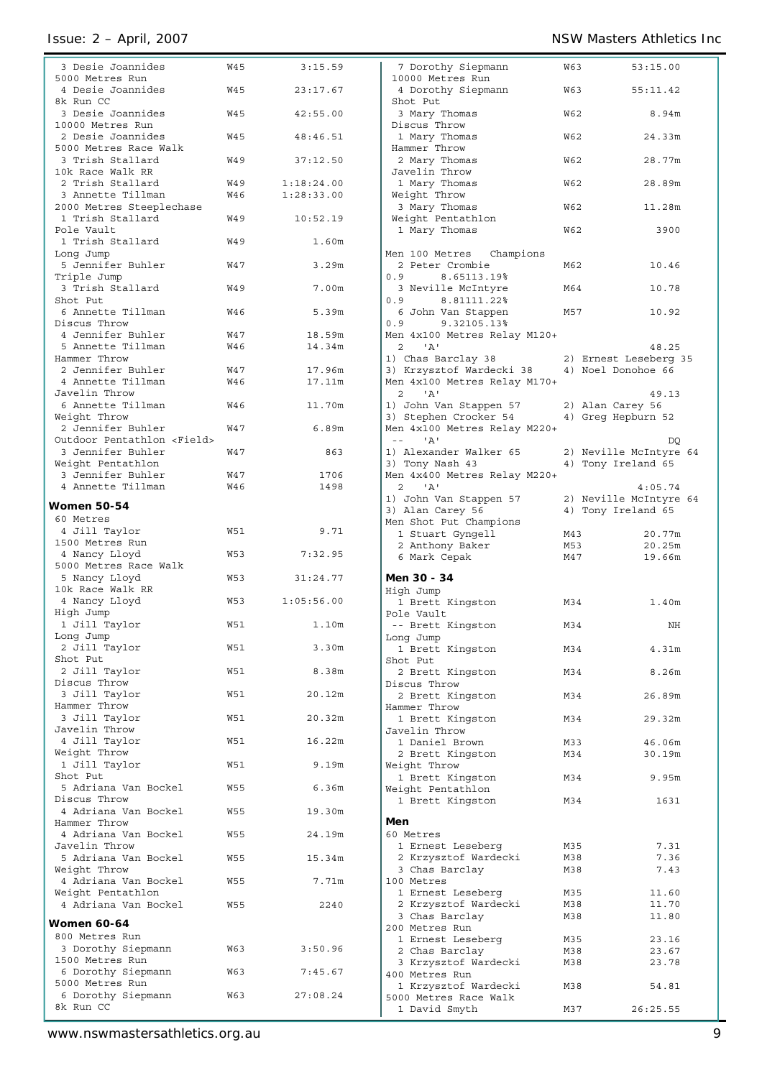| NSW Masters Athletics Inc |  |
|---------------------------|--|
|---------------------------|--|

| 3 Desie Joannides                          | W4 5         | 3:15.59                      | 7 <sub>L</sub>          |
|--------------------------------------------|--------------|------------------------------|-------------------------|
| 5000 Metres Run<br>4 Desie Joannides       |              | W45 23:17.67                 | 1000<br>4 <sub>l</sub>  |
| 8k Run CC                                  |              |                              | Shot                    |
| 3 Desie Joannides                          | W45          | 42:55.00                     | 3 N                     |
| 10000 Metres Run                           |              |                              | Disc                    |
| 2 Desie Joannides<br>5000 Metres Race Walk | W45          | 48:46.51                     | 1 <sub>1</sub><br>Hamn  |
| 3 Trish Stallard                           | W4 9         | 37:12.50                     | 2 N                     |
| 10k Race Walk RR                           |              |                              | Java                    |
| 2 Trish Stallard<br>3 Annette Tillman      | W46          | W49 1:18:24.00<br>1:28:33.00 | 1 <sub>1</sub><br>Weic  |
| 2000 Metres Steeplechase                   |              |                              | 3 <sub>1</sub>          |
| 1 Trish Stallard                           | W4 9         | 10:52.19                     | Weic                    |
| Pole Vault<br>1 Trish Stallard             | W4 9         |                              | 1 N                     |
| Long Jump                                  |              | 1.60m                        | Men 1                   |
| 5 Jennifer Buhler                          | W4 7         | 3.29m                        | 2 <sub>1</sub>          |
| Triple Jump                                |              |                              | 0.9                     |
| 3 Trish Stallard<br>Shot Put               | W49          | 7.00m                        | 3 <sup>1</sup><br>0.9   |
| 6 Annette Tillman                          | W4 6         | 5.39m                        | 6 <sup>1</sup>          |
| Discus Throw                               |              |                              | 0.9                     |
| 4 Jennifer Buhler<br>5 Annette Tillman     | W4 7<br>W4 6 | 18.59m<br>14.34m             | Men 4<br>2              |
| Hammer Throw                               |              |                              | $1)$ Ch                 |
| 2 Jennifer Buhler                          | W4 7         | 17.96m                       | 3) K1                   |
| 4 Annette Tillman                          | W46          | 17.11m                       | Men 4                   |
| Javelin Throw<br>6 Annette Tillman         | W46          | 11.70m                       | 2<br>$1)$ Jo            |
| Weight Throw                               |              |                              | 3) St                   |
| 2 Jennifer Buhler                          | W4 7         | 6.89m                        | Men 4                   |
| Outdoor Pentathlon <field></field>         |              |                              | $\sim$ $-$              |
| 3 Jennifer Buhler<br>Weight Pentathlon     | W4 7         | 863                          | $1)$ A<br>$3)$ To       |
| 3 Jennifer Buhler                          | W4 7         | 1706                         | Men 4                   |
| 4 Annette Tillman                          | W4 6         | 1498                         | 2                       |
| <b>Women 50-54</b>                         |              |                              | $1)$ Jo<br>3) A]        |
| 60 Metres                                  |              |                              | Men S                   |
| 4 Jill Taylor                              | W51          | 9.71                         | 1 <sup>5</sup>          |
| 1500 Metres Run<br>4 Nancy Lloyd           | W53          | 7:32.95                      | 2 <sub>1</sub>          |
| 5000 Metres Race Walk                      |              |                              | 6 N                     |
| 5 Nancy Lloyd                              | W53          | 31:24.77                     | Men                     |
| 10k Race Walk RR<br>4 Nancy Lloyd          | W53          | 1:05:56.00                   | High                    |
| High Jump                                  |              |                              | 1 F<br>Pole             |
| 1 Jill Taylor                              | W51          | 1.10m                        | $--$ E                  |
| Long Jump                                  |              |                              | Long                    |
| 2 Jill Taylor<br>Shot Put                  | <b>W51</b>   | 3.30m                        | 1 F<br>Shot             |
| 2 Jill Taylor                              | W51          | 8.38m                        |                         |
| Discus Throw                               |              |                              | 2 E                     |
|                                            |              |                              | Discu                   |
| 3 Jill Taylor                              | <b>W51</b>   | 20.12m                       | 2E                      |
| Hammer Throw<br>3 Jill Taylor              | W51          | 20.32m                       | Hamme<br>1 F            |
| Javelin Throw                              |              |                              | Javel                   |
| 4 Jill Taylor                              | W51          | 16.22m                       | 1 <sub>1</sub>          |
| Weight Throw                               | <b>W51</b>   |                              | 2E                      |
| 1 Jill Taylor<br>Shot Put                  |              | 9.19m                        | Weigh<br>1 F            |
| 5 Adriana Van Bockel                       | W55          | 6.36m                        | Weigh                   |
| Discus Throw                               |              |                              | 1 F                     |
| 4 Adriana Van Bockel<br>Hammer Throw       | W55          | 19.30m                       | Men                     |
| 4 Adriana Van Bockel                       | W55          | 24.19m                       | 60 Me                   |
| Javelin Throw                              |              |                              | 1 F                     |
| 5 Adriana Van Bockel                       | W55          | 15.34m                       | 2F                      |
| Weight Throw<br>4 Adriana Van Bockel       | W55          | 7.71m                        | 3 <sup>1</sup><br>100 M |
| Weight Pentathlon                          |              |                              | 1 F                     |
| 4 Adriana Van Bockel                       | W55          | 2240                         | 2 F                     |
| <b>Women 60-64</b>                         |              |                              | 3 <sup>1</sup><br>200 N |
| 800 Metres Run                             |              |                              | 1 F                     |
| 3 Dorothy Siepmann                         | W63          | 3:50.96                      | 2 <sup>2</sup>          |
| 1500 Metres Run<br>6 Dorothy Siepmann      | W63          | 7:45.67                      | 3 <sub>1</sub><br>400 N |
| 5000 Metres Run                            |              |                              | 1 F                     |
| 6 Dorothy Siepmann<br>8k Run CC            | W63          | 27:08.24                     | 5000<br>1 <sub>1</sub>  |

ı

| 7 Dorothy Siepmann                                                       | <b>W63</b>             | 53:15.00         |
|--------------------------------------------------------------------------|------------------------|------------------|
| 10000 Metres Run<br>4 Dorothy Siepmann                                   | W63                    | 55:11.42         |
| Shot Put                                                                 |                        |                  |
| 3 Mary Thomas<br>Discus Throw                                            | <b>W62</b>             | 8.94m            |
| 1 Mary Thomas                                                            | W62                    | 24.33m           |
| Hammer Throw<br>2 Mary Thomas                                            | <b>W62</b>             | 28.77m           |
| Javelin Throw                                                            |                        |                  |
| 1 Mary Thomas<br>Weight Throw                                            | <b>W62</b>             | 28.89m           |
| 3 Mary Thomas                                                            | <b>W62</b>             | 11.28m           |
| Weight Pentathlon<br>1 Mary Thomas                                       | <b>W62</b>             | 3900             |
|                                                                          |                        |                  |
| Men 100 Metres Champions<br>2 Peter Crombie                              | M62                    | 10.46            |
| 0.9<br>8.65113.19%<br>3 Neville McIntyre                                 | M64                    | 10.78            |
| 0.9<br>8.81111.22%                                                       |                        |                  |
| 6 John Van Stappen<br>9.32105.13%<br>0.9                                 | M57                    | 10.92            |
| Men 4x100 Metres Relay M120+                                             |                        |                  |
| $^{\prime}$ A $^{\prime}$<br>2<br>1) Chas Barclay 38                     | 2) Ernest Leseberg 35  | 48.25            |
| 3) Krzysztof Wardecki 38                                                 | 4) Noel Donohoe 66     |                  |
| Men 4x100 Metres Relay M170+<br>$^{\prime}$ A $^{\prime}$<br>$2^{\circ}$ |                        | 49.13            |
| 1) John Van Stappen 57                                                   | 2) Alan Carey 56       |                  |
| 3) Stephen Crocker 54<br>Men 4x100 Metres Relay M220+                    | 4) Greq Hepburn 52     |                  |
| $\overline{A}$<br>$\sim$ $  -$                                           |                        | DO               |
| 1) Alexander Walker 65                                                   | 2) Neville McIntyre 64 |                  |
| 3) Tony Nash 43                                                          | 4) Tony Ireland 65     |                  |
| Men 4x400 Metres Relay M220+<br>'A'<br>$\mathbf{2}$                      |                        | 4:05.74          |
| 1) John Van Stappen 57                                                   | 2) Neville McIntyre 64 |                  |
| 3) Alan Carey 56                                                         | 4) Tony Ireland 65     |                  |
| Men Shot Put Champions                                                   |                        |                  |
| 1 Stuart Gyngell                                                         | M43                    | 20.77m           |
| 2 Anthony Baker                                                          | M53                    | 20.25m           |
| 6 Mark Cepak                                                             | M47                    | 19.66m           |
| Men 30 - 34                                                              |                        |                  |
| High Jump                                                                |                        |                  |
| 1 Brett Kingston                                                         | M34                    | 1.40m            |
| Pole Vault<br>-- Brett Kingston                                          | M34                    | NΗ               |
| Long Jump                                                                |                        |                  |
| 1 Brett Kingston<br>Shot Put                                             | M34                    | 4.31m            |
| 2 Brett Kingston                                                         | M34                    | 8.26m            |
| Discus Throw<br>2 Brett Kingston                                         | M34                    | 26.89m           |
| Hammer Throw<br>1 Brett Kingston                                         | M34                    | 29.32m           |
| Javelin Throw                                                            |                        |                  |
| 1 Daniel Brown<br>2 Brett Kingston                                       | M33<br>M34             | 46.06m<br>30.19m |
| Weight Throw                                                             |                        |                  |
| 1 Brett Kingston<br>Weight Pentathlon                                    | M34                    | 9.95m            |
| 1 Brett Kingston                                                         | M34                    | 1631             |
| Men                                                                      |                        |                  |
| 60 Metres                                                                |                        |                  |
| 1 Ernest Leseberg                                                        | M35                    | 7.31             |
| 2 Krzysztof Wardecki                                                     | M38                    | 7.36             |
| 3 Chas Barclay                                                           | M38                    | 7.43             |
| 100 Metres                                                               |                        |                  |
| 1 Ernest Leseberg                                                        | M35                    | 11.60<br>11.70   |
| 2 Krzysztof Wardecki<br>3 Chas Barclay                                   | M38<br>M38             | 11.80            |
| 200 Metres Run                                                           |                        |                  |
| 1 Ernest Leseberg                                                        | M35                    | 23.16            |
| 2 Chas Barclay                                                           | M38                    | 23.67            |
| 3 Krzysztof Wardecki                                                     | M38                    | 23.78            |
| 400 Metres Run                                                           |                        |                  |
| 1 Krzysztof Wardecki<br>5000 Metres Race Walk                            | M38                    | 54.81            |
| 1 David Smyth                                                            | M37                    | 26:25.55         |
|                                                                          |                        |                  |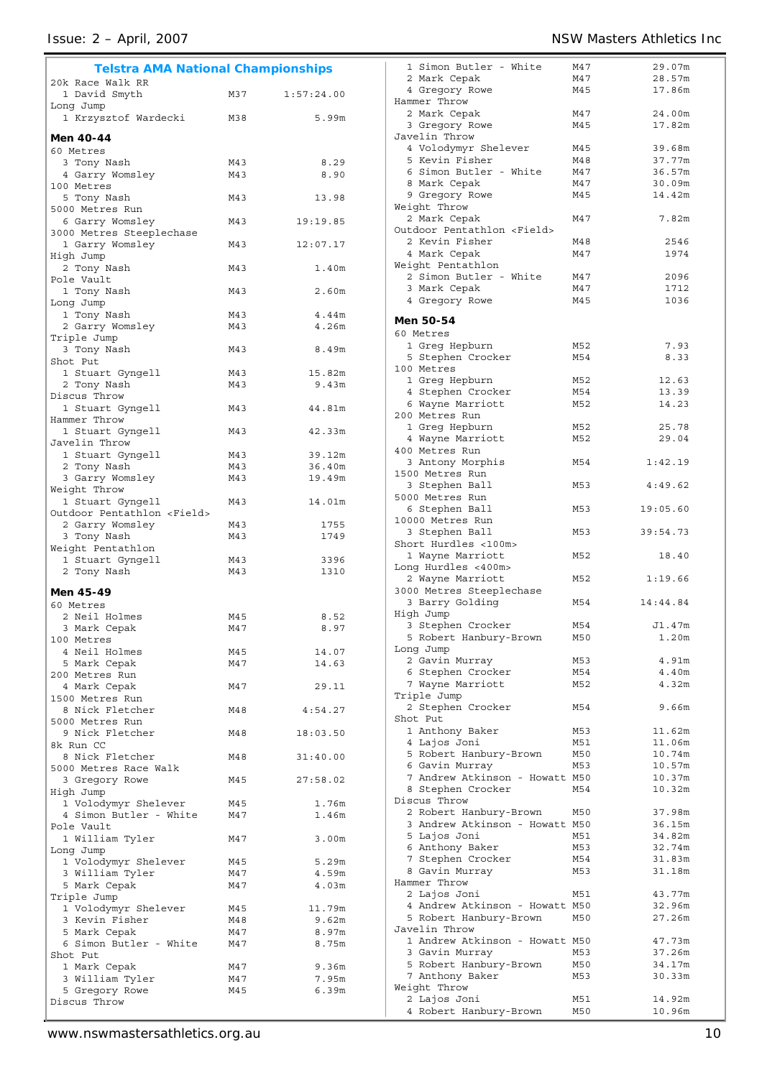|  |  | NSW Masters Athletics Inc |  |  |  |
|--|--|---------------------------|--|--|--|
|--|--|---------------------------|--|--|--|

| <b>Telstra AMA National Championships</b> |            |                  |  |  |  |
|-------------------------------------------|------------|------------------|--|--|--|
| 20k Race Walk RR<br>1 David Smyth         |            | M37 1:57:24.00   |  |  |  |
| Long Jump<br>1 Krzysztof Wardecki         | M38        | 5.99m            |  |  |  |
| Men 40-44                                 |            |                  |  |  |  |
| 60 Metres                                 |            |                  |  |  |  |
| 3 Tony Nash                               | M43        | 8.29             |  |  |  |
| 4 Garry Womsley<br>100 Metres             | M43        | 8.90             |  |  |  |
| 5 Tony Nash                               | M43        | 13.98            |  |  |  |
| 5000 Metres Run                           |            |                  |  |  |  |
| 6 Garry Womsley                           | M43        | 19:19.85         |  |  |  |
| 3000 Metres Steeplechase                  |            |                  |  |  |  |
| 1 Garry Womsley                           | M43        | 12:07.17         |  |  |  |
| High Jump                                 |            |                  |  |  |  |
| 2 Tony Nash<br>Pole Vault                 | M43        | 1.40m            |  |  |  |
| 1 Tony Nash                               | M43        | 2.60m            |  |  |  |
| Long Jump                                 |            |                  |  |  |  |
| 1 Tony Nash                               | M43        | 4.44m            |  |  |  |
| 2 Garry Womsley                           | M43        | 4.26m            |  |  |  |
| Triple Jump                               |            |                  |  |  |  |
| 3 Tony Nash                               | M43        | 8.49m            |  |  |  |
| Shot Put<br>1 Stuart Gyngell              | M43        | 15.82m           |  |  |  |
| 2 Tony Nash                               | M43        | 9.43m            |  |  |  |
| Discus Throw                              |            |                  |  |  |  |
| 1 Stuart Gyngell                          | M43        | 44.81m           |  |  |  |
| Hammer Throw                              |            |                  |  |  |  |
| 1 Stuart Gyngell                          | M4 3       | 42.33m           |  |  |  |
| Javelin Throw                             |            |                  |  |  |  |
| 1 Stuart Gyngell                          | M43        | 39.12m           |  |  |  |
| 2 Tony Nash<br>3 Garry Womsley            | M43<br>M43 | 36.40m<br>19.49m |  |  |  |
| Weight Throw                              |            |                  |  |  |  |
| 1 Stuart Gyngell                          | M43        | 14.01m           |  |  |  |
| Outdoor Pentathlon <field></field>        |            |                  |  |  |  |
| 2 Garry Womsley                           | M43        | 1755             |  |  |  |
| 3 Tony Nash                               | M43        | 1749             |  |  |  |
| Weight Pentathlon                         |            |                  |  |  |  |
| 1 Stuart Gyngell<br>2 Tony Nash           | M43<br>M43 | 3396<br>1310     |  |  |  |
|                                           |            |                  |  |  |  |
| Men 45-49                                 |            |                  |  |  |  |
| 60 Metres                                 |            |                  |  |  |  |
| 2 Neil Holmes                             | M45        | 8.52             |  |  |  |
| 3 Mark Cepak                              | M4 7       | 8.97             |  |  |  |
| 100 Metres<br>4 Neil Holmes               | M45        | 14.07            |  |  |  |
| 5 Mark Cepak                              | M47        | 14.63            |  |  |  |
| 200 Metres Run                            |            |                  |  |  |  |
| 4 Mark Cepak                              | M4 7       | 29.11            |  |  |  |
| 1500 Metres Run                           |            |                  |  |  |  |
| 8 Nick Fletcher                           | M48        | 4:54.27          |  |  |  |
| 5000 Metres Run                           |            |                  |  |  |  |
| 9 Nick Fletcher<br>8k Run CC              | M48        | 18:03.50         |  |  |  |
| 8 Nick Fletcher                           | M48        | 31:40.00         |  |  |  |
| 5000 Metres Race Walk                     |            |                  |  |  |  |
| 3 Gregory Rowe                            | M45        | 27:58.02         |  |  |  |
| High Jump                                 |            |                  |  |  |  |
| 1 Volodymyr Shelever                      | M45        | 1.76m            |  |  |  |
| 4 Simon Butler - White                    | M47        | 1.46m            |  |  |  |
| Pole Vault                                |            |                  |  |  |  |
| 1 William Tyler<br>Long Jump              | M47        | 3.00m            |  |  |  |
| 1 Volodymyr Shelever                      | M45        | 5.29m            |  |  |  |
| 3 William Tyler                           | M47        | 4.59m            |  |  |  |
| 5 Mark Cepak                              | M47        | 4.03m            |  |  |  |
| Triple Jump                               |            |                  |  |  |  |
| 1 Volodymyr Shelever                      | M45        | 11.79m           |  |  |  |
| 3 Kevin Fisher                            | M48        | 9.62m            |  |  |  |
| 5 Mark Cepak                              | M4 7       | 8.97m            |  |  |  |
| 6 Simon Butler - White<br>Shot Put        | M4 7       | 8.75m            |  |  |  |
| 1 Mark Cepak                              | M4 7       | 9.36m            |  |  |  |
| 3 William Tyler                           | M47        | 7.95m            |  |  |  |
| 5 Gregory Rowe                            | M45        | 6.39m            |  |  |  |
| Discus Throw                              |            |                  |  |  |  |

| 1 Simon Butler - White             | M4 7 | 29.07m   |
|------------------------------------|------|----------|
| 2 Mark Cepak                       | M4 7 | 28.57m   |
|                                    |      |          |
| 4 Gregory Rowe                     | M45  | 17.86m   |
| Hammer Throw                       |      |          |
|                                    |      |          |
| 2 Mark Cepak                       | M47  | 24.00m   |
| 3 Gregory Rowe                     | M45  | 17.82m   |
|                                    |      |          |
| Javelin Throw                      |      |          |
| 4 Volodymyr Shelever               | M45  | 39.68m   |
|                                    |      |          |
| 5 Kevin Fisher                     | M48  | 37.77m   |
| 6 Simon Butler - White             | M4 7 | 36.57m   |
|                                    |      |          |
| 8 Mark Cepak                       | M47  | 30.09m   |
| 9 Gregory Rowe                     | M45  | 14.42m   |
|                                    |      |          |
| Weight Throw                       |      |          |
| 2 Mark Cepak                       | M47  | 7.82m    |
|                                    |      |          |
| Outdoor Pentathlon <field></field> |      |          |
| 2 Kevin Fisher                     | M48  | 2546     |
|                                    |      |          |
| 4 Mark Cepak                       | M47  | 1974     |
| Weight Pentathlon                  |      |          |
|                                    |      |          |
| 2 Simon Butler - White             | M47  | 2096     |
| 3 Mark Cepak                       | M47  | 1712     |
|                                    |      |          |
| 4 Gregory Rowe                     | M45  | 1036     |
|                                    |      |          |
|                                    |      |          |
| Men 50-54                          |      |          |
| 60 Metres                          |      |          |
|                                    |      |          |
| 1 Greg Hepburn                     | M52  | 7.93     |
|                                    |      |          |
| 5 Stephen Crocker                  | M54  | 8.33     |
| 100 Metres                         |      |          |
|                                    |      |          |
| 1 Greg Hepburn                     | M52  | 12.63    |
| 4 Stephen Crocker                  | M54  | 13.39    |
|                                    |      |          |
| 6 Wayne Marriott                   | M52  | 14.23    |
| 200 Metres Run                     |      |          |
|                                    |      |          |
| 1 Greg Hepburn                     | M52  | 25.78    |
| 4 Wayne Marriott                   | M52  | 29.04    |
|                                    |      |          |
| 400 Metres Run                     |      |          |
| 3 Antony Morphis                   | M54  | 1:42.19  |
|                                    |      |          |
| 1500 Metres Run                    |      |          |
| 3 Stephen Ball                     |      | 4:49.62  |
|                                    | M53  |          |
| 5000 Metres Run                    |      |          |
| 6 Stephen Ball                     |      |          |
|                                    | M53  | 19:05.60 |
| 10000 Metres Run                   |      |          |
|                                    |      | 39:54.73 |
| 3 Stephen Ball                     | M53  |          |
| Short Hurdles <100m>               |      |          |
|                                    |      | 18.40    |
| 1 Wayne Marriott                   | M52  |          |
| Long Hurdles <400m>                |      |          |
|                                    |      |          |
| 2 Wayne Marriott                   | M52  | 1:19.66  |
| 3000 Metres Steeplechase           |      |          |
|                                    |      |          |
| 3 Barry Golding                    | M54  | 14:44.84 |
| High Jump                          |      |          |
|                                    |      |          |
| 3 Stephen Crocker                  | M54  | J1.47m   |
| 5 Robert Hanbury-Brown             | M50  | 1.20m    |
|                                    |      |          |
| Long Jump                          |      |          |
| 2 Gavin Murray                     | M53  | 4.91m    |
|                                    |      |          |
| 6 Stephen Crocker                  | M54  | 4.40m    |
|                                    |      |          |
| 7 Wayne Marriott                   | M52  | 4.32m    |
| Triple Jump                        |      |          |
|                                    |      |          |
| 2 Stephen Crocker                  | M54  | 9.66m    |
| Shot Put                           |      |          |
|                                    |      |          |
| 1 Anthony Baker                    | M53  | 11.62m   |
| 4 Lajos Joni                       | M51  | 11.06m   |
|                                    |      |          |
| 5 Robert Hanbury-Brown             | M50  | 10.74m   |
| 6 Gavin Murray                     | M53  | 10.57m   |
|                                    |      |          |
| 7 Andrew Atkinson - Howatt M50     |      | 10.37m   |
| 8 Stephen Crocker                  | M54  | 10.32m   |
|                                    |      |          |
| Discus Throw                       |      |          |
| 2 Robert Hanbury-Brown             | M50  | 37.98m   |
|                                    |      |          |
| 3 Andrew Atkinson - Howatt M50     |      | 36.15m   |
|                                    |      |          |
| 5 Lajos Joni                       | M51  | 34.82m   |
| 6 Anthony Baker                    | M53  | 32.74m   |
|                                    |      |          |
| 7 Stephen Crocker                  | M54  | 31.83m   |
| 8 Gavin Murray                     | M53  | 31.18m   |
|                                    |      |          |
| Hammer Throw                       |      |          |
| 2 Lajos Joni                       | M51  | 43.77m   |
|                                    |      |          |
| 4 Andrew Atkinson - Howatt M50     |      | 32.96m   |
| 5 Robert Hanbury-Brown             | M50  | 27.26m   |
|                                    |      |          |
| Javelin Throw                      |      |          |
| 1 Andrew Atkinson - Howatt M50     |      | 47.73m   |
|                                    |      |          |
| 3 Gavin Murray                     | M53  | 37.26m   |
|                                    |      |          |
| 5 Robert Hanbury-Brown             | M50  | 34.17m   |
| 7 Anthony Baker                    | M53  | 30.33m   |
|                                    |      |          |
| Weight Throw                       |      |          |
|                                    |      |          |
| 2 Lajos Joni                       | M51  | 14.92m   |
| 4 Robert Hanbury-Brown             | M50  | 10.96m   |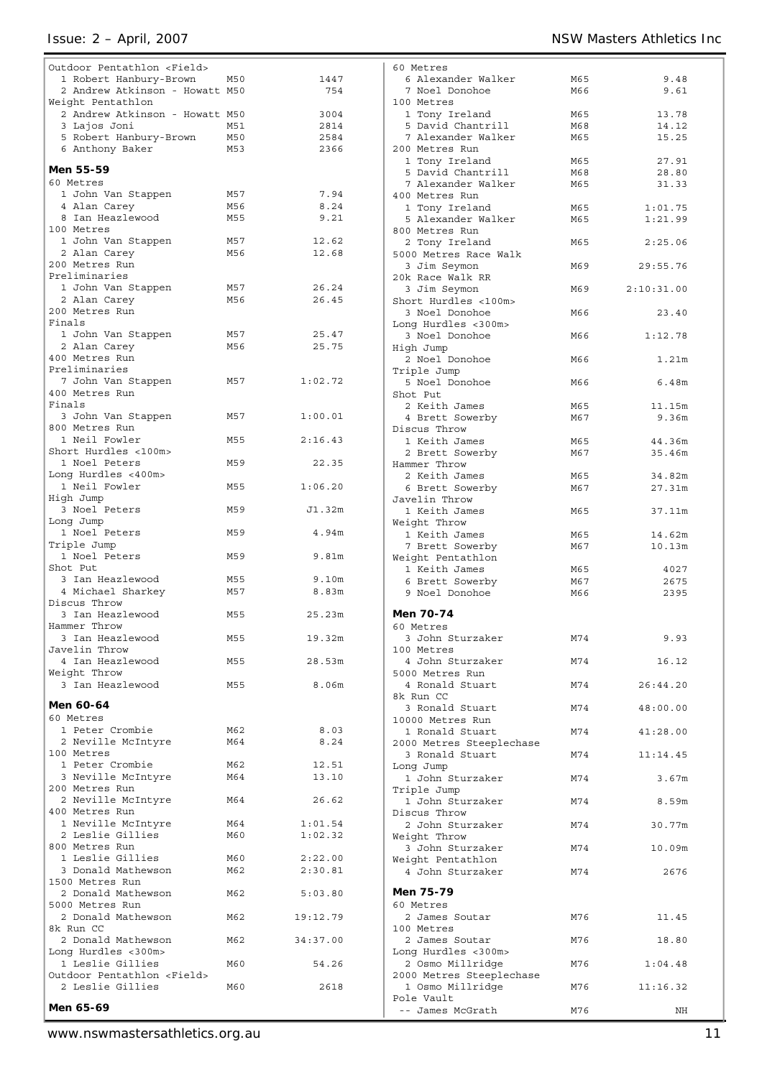### Issue: 2 - April, 2007 **NSW** Masters Athletics Inc

| Outdoor Pentathlon <field></field>        |            |              |
|-------------------------------------------|------------|--------------|
| 1 Robert Hanbury-Brown                    | M50        | 1447         |
| 2 Andrew Atkinson - Howatt M50            |            | 754          |
| Weight Pentathlon                         |            |              |
| 2 Andrew Atkinson - Howatt M50            |            | 3004         |
| 3 Lajos Joni                              | M51        | 2814         |
| 5 Robert Hanbury-Brown<br>6 Anthony Baker | M50<br>M53 | 2584<br>2366 |
|                                           |            |              |
| Men 55-59                                 |            |              |
| 60 Metres                                 |            |              |
| 1 John Van Stappen                        | M57        | 7.94         |
| 4 Alan Carey<br>8 Ian Heazlewood          | M56<br>M55 | 8.24<br>9.21 |
| 100 Metres                                |            |              |
| 1 John Van Stappen                        | M57        | 12.62        |
| 2 Alan Carey                              | M56        | 12.68        |
| 200 Metres Run                            |            |              |
| Preliminaries                             |            | 26.24        |
| 1 John Van Stappen<br>2 Alan Carey        | M57<br>M56 | 26.45        |
| 200 Metres Run                            |            |              |
| Finals                                    |            |              |
| 1 John Van Stappen                        | M57        | 25.47        |
| 2 Alan Carey                              | M56        | 25.75        |
| 400 Metres Run                            |            |              |
| Preliminaries<br>7 John Van Stappen       | M57        | 1:02.72      |
| 400 Metres Run                            |            |              |
| Finals                                    |            |              |
| 3 John Van Stappen                        | M57        | 1:00.01      |
| 800 Metres Run                            |            |              |
| 1 Neil Fowler                             | M55        | 2:16.43      |
| Short Hurdles <100m><br>1 Noel Peters     | M59        | 22.35        |
| Long Hurdles <400m>                       |            |              |
| 1 Neil Fowler                             | M55        | 1:06.20      |
| High Jump                                 |            |              |
| 3 Noel Peters                             | M59        | J1.32m       |
| Long Jump                                 |            |              |
| 1 Noel Peters<br>Triple Jump              | M59        | 4.94m        |
| 1 Noel Peters                             | M59        | 9.81m        |
| Shot Put                                  |            |              |
| 3 Ian Heazlewood                          | M55        | 9.10m        |
| 4 Michael Sharkey                         | M57        | 8.83m        |
| Discus Throw                              |            | 25.23m       |
| 3 Ian Heazlewood<br>Hammer Throw          | M55        |              |
| 3 Ian Heazlewood                          | M55        | 19.32m       |
| Javelin Throw                             |            |              |
| 4 Ian Heazlewood                          | M55        | 28.53m       |
| Weight Throw                              |            |              |
| 3 Ian Heazlewood                          | M55        | 8.06m        |
| Men 60-64                                 |            |              |
| 60 Metres                                 |            |              |
| 1 Peter Crombie                           | M62        | 8.03         |
| 2 Neville McIntyre                        | M64        | 8.24         |
| 100 Metres<br>1 Peter Crombie             | M62        | 12.51        |
| 3 Neville McIntyre                        | M64        | 13.10        |
| 200 Metres Run                            |            |              |
| 2 Neville McIntyre                        | M64        | 26.62        |
| 400 Metres Run                            |            |              |
| 1 Neville McIntyre                        | M64        | 1:01.54      |
| 2 Leslie Gillies<br>800 Metres Run        | M60        | 1:02.32      |
| 1 Leslie Gillies                          | M60        | 2:22.00      |
| 3 Donald Mathewson                        | M62        | 2:30.81      |
| 1500 Metres Run                           |            |              |
| 2 Donald Mathewson                        | M62        | 5:03.80      |
| 5000 Metres Run                           |            |              |
| 2 Donald Mathewson<br>8k Run CC           | M62        | 19:12.79     |
| 2 Donald Mathewson                        | M62        | 34:37.00     |
| Long Hurdles <300m>                       |            |              |
| 1 Leslie Gillies                          | M60        | 54.26        |
| Outdoor Pentathlon <field></field>        |            |              |
| 2 Leslie Gillies                          | M60        | 2618         |
| Men 65-69                                 |            |              |

| 60 Metres                               |            |                  |
|-----------------------------------------|------------|------------------|
| 6 Alexander Walker                      | M65        | 9.48             |
| 7 Noel Donohoe                          | M66        | 9.61             |
| 100 Metres                              |            |                  |
| 1 Tony Ireland                          | M65        | 13.78            |
| 5 David Chantrill<br>7 Alexander Walker | M68<br>M65 | 14.12<br>15.25   |
| 200 Metres Run                          |            |                  |
| 1 Tony Ireland                          | M65        | 27.91            |
| 5 David Chantrill                       | M68        | 28.80            |
| 7 Alexander Walker                      | M65        | 31.33            |
| 400 Metres Run                          |            |                  |
| 1 Tony Ireland                          | M65        | 1:01.75          |
| 5 Alexander Walker                      | M65        | 1:21.99          |
| 800 Metres Run                          |            |                  |
| 2 Tony Ireland<br>5000 Metres Race Walk | M65        | 2:25.06          |
| 3 Jim Seymon                            | M69        | 29:55.76         |
| 20k Race Walk RR                        |            |                  |
| 3 Jim Seymon                            | M69        | 2:10:31.00       |
| Short Hurdles <100m>                    |            |                  |
| 3 Noel Donohoe                          | M66        | 23.40            |
| Long Hurdles <300m>                     |            |                  |
| 3 Noel Donohoe                          | M66        | 1:12.78          |
| High Jump                               |            |                  |
| 2 Noel Donohoe<br>Triple Jump           | M66        | 1.21m            |
| 5 Noel Donohoe                          | M66        | 6.48m            |
| Shot Put                                |            |                  |
| 2 Keith James                           | M65        | 11.15m           |
| 4 Brett Sowerby                         | M67        | 9.36m            |
| Discus Throw                            |            |                  |
| 1 Keith James                           | M65        | 44.36m           |
| 2 Brett Sowerby                         | M67        | 35.46m           |
| Hammer Throw                            |            |                  |
| 2 Keith James<br>6 Brett Sowerby        | M65<br>M67 | 34.82m<br>27.31m |
| Javelin Throw                           |            |                  |
| 1 Keith James                           | M65        | 37.11m           |
| Weight Throw                            |            |                  |
|                                         |            |                  |
| 1 Keith James                           | M65        | 14.62m           |
| 7 Brett Sowerby                         | M67        | 10.13m           |
| Weight Pentathlon                       |            |                  |
| 1 Keith James                           | M65        | 4027             |
| 6 Brett Sowerby                         | M67        | 2675             |
| 9 Noel Donohoe                          | M66        | 2395             |
| Men 70-74                               |            |                  |
| 60 Metres                               |            |                  |
| 3 John Sturzaker                        | M74        | 9.93             |
| 100 Metres                              |            |                  |
| 4 John Sturzaker                        | M74        | 16.12            |
| 5000 Metres Run                         |            |                  |
| 4 Ronald Stuart                         | M74        | 26:44.20         |
| 8k Run CC                               | M74        |                  |
| 3 Ronald Stuart<br>10000 Metres Run     |            | 48:00.00         |
| 1 Ronald Stuart                         | M74        | 41:28.00         |
| 2000 Metres Steeplechase                |            |                  |
| 3 Ronald Stuart                         | M74        | 11:14.45         |
| Long Jump                               |            |                  |
| 1 John Sturzaker                        | M74        | 3.67m            |
| Triple Jump                             |            |                  |
| 1 John Sturzaker<br>Discus Throw        | M74        | 8.59m            |
| 2 John Sturzaker                        | M74        | 30.77m           |
| Weight Throw                            |            |                  |
| 3 John Sturzaker                        | M74        | 10.09m           |
| Weight Pentathlon                       |            |                  |
| 4 John Sturzaker                        | M74        | 2676             |
| Men 75-79                               |            |                  |
| 60 Metres                               |            |                  |
| 2 James Soutar                          | M76        | 11.45            |
| 100 Metres                              |            |                  |
| 2 James Soutar                          | M76        | 18.80            |
| Long Hurdles <300m>                     |            |                  |
| 2 Osmo Millridge                        | M76        | 1:04.48          |
| 2000 Metres Steeplechase                |            |                  |
| 1 Osmo Millridge<br>Pole Vault          | M76        | 11:16.32         |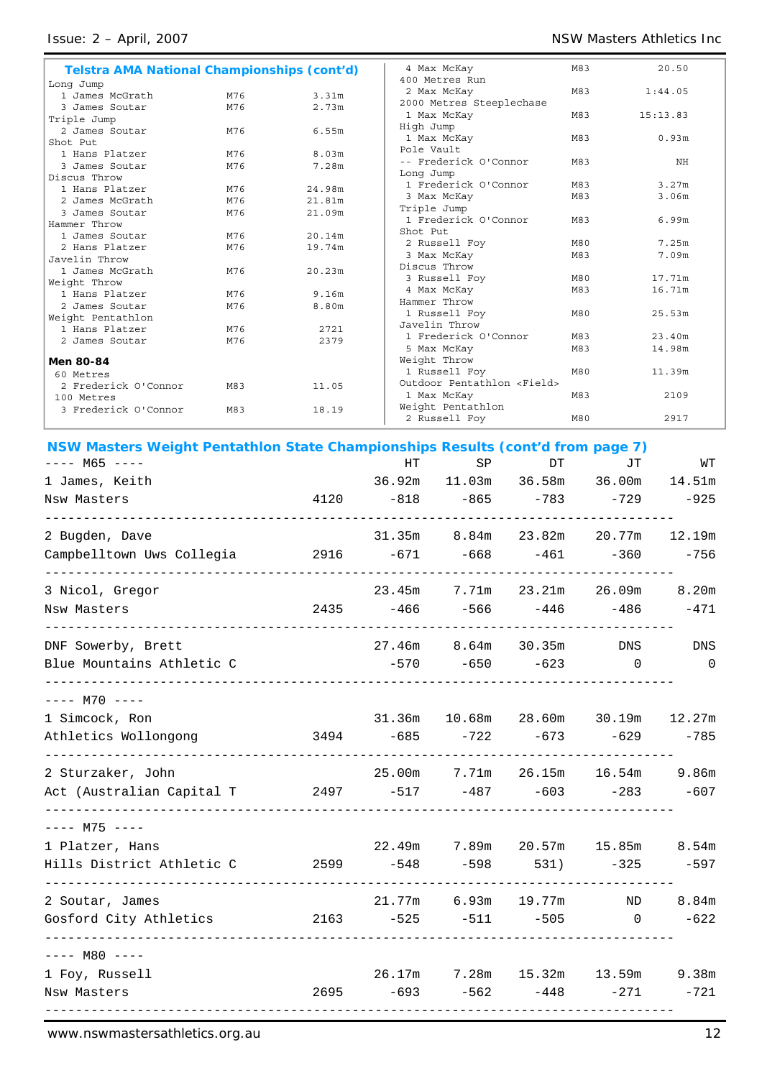| <b>Telstra AMA National Championships (cont'd)</b> |     |        | 4 Max McKay                        | M83 | 20.50    |
|----------------------------------------------------|-----|--------|------------------------------------|-----|----------|
| Long Jump                                          |     |        | 400 Metres Run                     |     |          |
| 1 James McGrath                                    | M76 | 3.31m  | 2 Max McKay                        | M83 | 1:44.05  |
| 3 James Soutar                                     | M76 | 2.73m  | 2000 Metres Steeplechase           |     |          |
| Triple Jump                                        |     |        | 1 Max McKay                        | M83 | 15:13.83 |
| 2 James Soutar                                     | M76 | 6.55m  | High Jump                          |     |          |
| Shot Put                                           |     |        | 1 Max McKay                        | M83 | 0.93m    |
| 1 Hans Platzer                                     | M76 | 8.03m  | Pole Vault                         |     |          |
| 3 James Soutar                                     | M76 | 7.28m  | -- Frederick O'Connor              | M83 | NH       |
| Discus Throw                                       |     |        | Long Jump                          |     |          |
| 1 Hans Platzer                                     | M76 | 24.98m | 1 Frederick O'Connor               | M83 | 3.27m    |
| 2 James McGrath                                    | M76 | 21.81m | 3 Max McKay                        | M83 | 3.06m    |
| 3 James Soutar                                     | M76 | 21.09m | Triple Jump                        |     |          |
| Hammer Throw                                       |     |        | 1 Frederick O'Connor               | M83 | 6.99m    |
| 1 James Soutar                                     | M76 | 20.14m | Shot Put                           |     |          |
| 2 Hans Platzer                                     | M76 | 19.74m | 2 Russell Foy                      | M80 | 7.25m    |
| Javelin Throw                                      |     |        | 3 Max McKay                        | M83 | 7.09m    |
| 1 James McGrath                                    | M76 | 20.23m | Discus Throw                       |     |          |
| Weight Throw                                       |     |        | 3 Russell Foy                      | M80 | 17.71m   |
| 1 Hans Platzer                                     | M76 | 9.16m  | 4 Max McKay                        | M83 | 16.71m   |
| 2 James Soutar                                     | M76 | 8.80m  | Hammer Throw                       |     |          |
| Weight Pentathlon                                  |     |        | 1 Russell Foy                      | M80 | 25.53m   |
| 1 Hans Platzer                                     | M76 | 2721   | Javelin Throw                      |     |          |
| 2 James Soutar                                     | M76 | 2379   | 1 Frederick O'Connor               | M83 | 23.40m   |
|                                                    |     |        | 5 Max McKay                        | M83 | 14.98m   |
| Men 80-84                                          |     |        | Weight Throw                       |     |          |
| 60 Metres                                          |     |        | 1 Russell Foy                      | M80 | 11.39m   |
| 2 Frederick O'Connor                               | M83 | 11.05  | Outdoor Pentathlon <field></field> |     |          |
| 100 Metres                                         |     |        | 1 Max McKay                        | M83 | 2109     |
| 3 Frederick O'Connor                               | M83 | 18.19  | Weight Pentathlon                  |     |          |
|                                                    |     |        | 2 Russell Foy                      | M80 | 2917     |

|                                                                                |                                            |                                           | Z RUSSCII POY      |                                     |        |        |
|--------------------------------------------------------------------------------|--------------------------------------------|-------------------------------------------|--------------------|-------------------------------------|--------|--------|
| NSW Masters Weight Pentathlon State Championships Results (cont'd from page 7) |                                            |                                           |                    |                                     |        |        |
| $---$ M65 $---$                                                                |                                            | HT .                                      | SP                 | DT                                  | JT     | WT     |
| 1 James, Keith                                                                 |                                            |                                           |                    | 36.92m 11.03m 36.58m 36.00m 14.51m  |        |        |
| Nsw Masters                                                                    |                                            | 4120 $-818$ $-865$ $-783$ $-729$ $-925$   |                    |                                     |        |        |
| 2 Bugden, Dave                                                                 |                                            | 31.35m 8.84m 23.82m 20.77m 12.19m         |                    |                                     |        |        |
| Campbelltown Uws Collegia                                                      | $2916$ $-671$ $-668$ $-461$ $-360$ $-756$  |                                           |                    |                                     |        |        |
| 3 Nicol, Gregor                                                                |                                            |                                           |                    | 23.45m 7.71m 23.21m 26.09m          |        | 8.20m  |
| Nsw Masters                                                                    |                                            | $2435$ $-466$ $-566$ $-446$ $-486$ $-471$ |                    |                                     |        |        |
| DNF Sowerby, Brett                                                             |                                            |                                           | __________________ | 27.46m 8.64m 30.35m DNS             |        | DNS    |
| Blue Mountains Athletic C                                                      |                                            |                                           |                    | $-570$ $-650$ $-623$ 0              |        | 0      |
| ____________________<br>$--- M70 ---$                                          | ________________                           |                                           |                    |                                     |        |        |
| 1 Simcock, Ron                                                                 |                                            |                                           |                    | $31.36m$ $10.68m$ $28.60m$ $30.19m$ |        | 12.27m |
| Athletics Wollongong<br>---------------                                        |                                            | $3494$ $-685$ $-722$ $-673$ $-629$ $-785$ |                    |                                     |        |        |
| 2 Sturzaker, John                                                              |                                            |                                           |                    | 25.00m 7.71m 26.15m 16.54m 9.86m    |        |        |
|                                                                                |                                            |                                           |                    |                                     |        |        |
| $---$ M75 $---$                                                                |                                            |                                           |                    |                                     |        |        |
| 1 Platzer, Hans                                                                |                                            | 22.49m 7.89m 20.57m 15.85m 8.54m          |                    |                                     |        |        |
| Hills District Athletic C<br><u>. La La La La La La La La La</u>               | $2599$ $-548$ $-598$ $531$ ) $-325$ $-597$ |                                           |                    |                                     |        |        |
| 2 Soutar, James                                                                |                                            |                                           |                    | 21.77m 6.93m 19.77m                 | ND 200 | 8.84m  |
| Gosford City Athletics                                                         |                                            | $2163 -525 -511 -505$ 0                   |                    |                                     |        | $-622$ |
| $---$ M80 $---$                                                                |                                            |                                           |                    |                                     |        |        |
| 1 Foy, Russell                                                                 |                                            |                                           |                    | 26.17m 7.28m 15.32m 13.59m          |        | 9.38m  |
| Nsw Masters                                                                    | 2695                                       | $-693$                                    | $-562$             | $-448$                              | $-271$ | $-721$ |

----------------------------------------------------------------------------------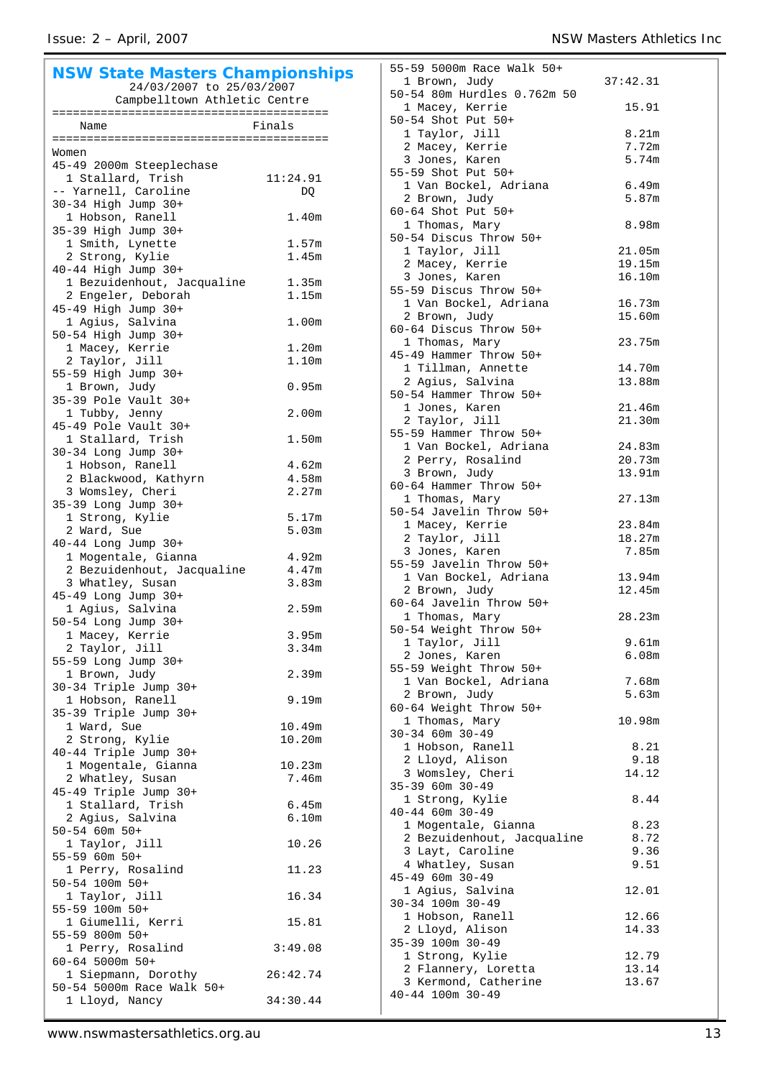| <b>NSW State Masters Championships</b>                   |                            |  |  |
|----------------------------------------------------------|----------------------------|--|--|
| 24/03/2007 to 25/03/2007<br>Campbelltown Athletic Centre |                            |  |  |
| Name                                                     | Finals                     |  |  |
|                                                          |                            |  |  |
| Women<br>45-49 2000m Steeplechase                        |                            |  |  |
| 1 Stallard, Trish                                        | 11:24.91                   |  |  |
| -- Yarnell, Caroline                                     | DQ                         |  |  |
| 30-34 High Jump 30+<br>1 Hobson, Ranell                  | 1.40m                      |  |  |
| 35-39 High Jump 30+                                      |                            |  |  |
| 1 Smith, Lynette                                         | 1.57m                      |  |  |
| 2 Strong, Kylie<br>40-44 High Jump 30+                   | 1.45m                      |  |  |
| 1 Bezuidenhout, Jacqualine                               | 1.35m                      |  |  |
| 2 Engeler, Deborah<br>45-49 High Jump 30+                | 1.15m                      |  |  |
| 1 Agius, Salvina                                         | 1.00m                      |  |  |
| 50-54 High Jump 30+                                      |                            |  |  |
| 1 Macey, Kerrie<br>2 Taylor, Jill                        | 1.20 <sub>m</sub><br>1.10m |  |  |
| 55-59 High Jump 30+                                      |                            |  |  |
| 1 Brown, Judy                                            | 0.95m                      |  |  |
| 35-39 Pole Vault 30+<br>1 Tubby, Jenny                   | 2.00m                      |  |  |
| 45-49 Pole Vault 30+                                     |                            |  |  |
| 1 Stallard, Trish<br>30-34 Long Jump 30+                 | 1.50m                      |  |  |
| 1 Hobson, Ranell                                         | 4.62m                      |  |  |
| 2 Blackwood, Kathyrn                                     | 4.58m                      |  |  |
| 3 Womsley, Cheri<br>35-39 Long Jump 30+                  | 2.27m                      |  |  |
| 1 Strong, Kylie                                          | 5.17m                      |  |  |
| 2 Ward, Sue                                              | 5.03m                      |  |  |
| 40-44 Long Jump 30+<br>1 Mogentale, Gianna               | 4.92m                      |  |  |
| 2 Bezuidenhout, Jacqualine                               | 4.47m                      |  |  |
| 3 Whatley, Susan<br>45-49 Long Jump 30+                  | 3.83m                      |  |  |
| 1 Agius, Salvina                                         | 2.59m                      |  |  |
| 50-54 Long Jump 30+                                      |                            |  |  |
| 1 Macey, Kerrie<br>2 Taylor, Jill                        | 3.95m<br>3.34m             |  |  |
| 55-59 Long Jump 30+                                      |                            |  |  |
| 1 Brown, Judy                                            | 2.39m                      |  |  |
| 30-34 Triple Jump 30+<br>1 Hobson, Ranell                | 9.19m                      |  |  |
| 35-39 Triple Jump 30+                                    |                            |  |  |
| 1 Ward, Sue                                              | 10.49m<br>10.20m           |  |  |
| 2 Strong, Kylie<br>40-44 Triple Jump 30+                 |                            |  |  |
| 1 Mogentale, Gianna                                      | 10.23m                     |  |  |
| 2 Whatley, Susan<br>45-49 Triple Jump 30+                | 7.46m                      |  |  |
| 1 Stallard, Trish                                        | 6.45m                      |  |  |
| 2 Agius, Salvina                                         | 6.10m                      |  |  |
| $50 - 54$ 60m $50 +$<br>1 Taylor, Jill                   | 10.26                      |  |  |
| 55-59 60m 50+                                            |                            |  |  |
| 1 Perry, Rosalind<br>50-54 100m 50+                      | 11.23                      |  |  |
| 1 Taylor, Jill                                           | 16.34                      |  |  |
| 55-59 100m 50+                                           |                            |  |  |
| 1 Giumelli, Kerri<br>55-59 800m 50+                      | 15.81                      |  |  |
| 1 Perry, Rosalind                                        | 3:49.08                    |  |  |
| 60-64 5000m 50+                                          |                            |  |  |
| 1 Siepmann, Dorothy<br>50-54 5000m Race Walk 50+         | 26:42.74                   |  |  |
| 1 Lloyd, Nancy                                           | 34:30.44                   |  |  |

| 55-59 5000m Race Walk 50+   |          |
|-----------------------------|----------|
| 1 Brown, Judy               | 37:42.31 |
| 50-54 80m Hurdles 0.762m 50 |          |
| 1 Macey, Kerrie             | 15.91    |
| 50-54 Shot Put 50+          |          |
| 1 Taylor, Jill              | 8.21m    |
| 2 Macey, Kerrie             | 7.72m    |
| 3 Jones, Karen              | 5.74m    |
| 55-59 Shot Put 50+          |          |
| 1 Van Bockel, Adriana       | 6.49m    |
| 2 Brown, Judy               | 5.87m    |
| 60-64 Shot Put 50+          |          |
| 1 Thomas, Mary              | 8.98m    |
| 50-54 Discus Throw 50+      |          |
| 1 Taylor, Jill              | 21.05m   |
|                             |          |
| 2 Macey, Kerrie             | 19.15m   |
| 3 Jones, Karen              | 16.10m   |
| 55-59 Discus Throw 50+      |          |
| 1 Van Bockel, Adriana       | 16.73m   |
| 2 Brown, Judy               | 15.60m   |
| 60-64 Discus Throw 50+      |          |
| 1 Thomas, Mary              | 23.75m   |
| 45-49 Hammer Throw 50+      |          |
| 1 Tillman, Annette          | 14.70m   |
| 2 Agius, Salvina            | 13.88m   |
| 50-54 Hammer Throw 50+      |          |
| 1 Jones, Karen              | 21.46m   |
| 2 Taylor, Jill              | 21.30m   |
| 55-59 Hammer Throw 50+      |          |
| 1 Van Bockel, Adriana       | 24.83m   |
| 2 Perry, Rosalind           | 20.73m   |
| 3 Brown, Judy               | 13.91m   |
| 60-64 Hammer Throw 50+      |          |
| 1 Thomas, Mary              | 27.13m   |
| 50-54 Javelin Throw 50+     |          |
| 1 Macey, Kerrie             | 23.84m   |
| 2 Taylor, Jill              | 18.27m   |
| 3 Jones, Karen              | 7.85m    |
| 55-59 Javelin Throw 50+     |          |
| 1 Van Bockel, Adriana       | 13.94m   |
| 2 Brown, Judy               | 12.45m   |
| 60-64 Javelin Throw 50+     |          |
| 1 Thomas, Mary              | 28.23m   |
| 50-54 Weight Throw 50+      |          |
| 1 Taylor, Jill              | 9.61m    |
| 2 Jones, Karen              | 6.08m    |
| 55-59 Weight Throw 50+      |          |
| 1 Van Bockel, Adriana       | 7.68m    |
| 2 Brown, Judy               | 5.63m    |
| 60-64 Weight Throw 50+      |          |
| 1 Thomas, Mary              | 10.98m   |
| $30 - 34$ 60m $30 - 49$     |          |
| 1 Hobson, Ranell            | 8.21     |
| 2 Lloyd, Alison             | 9.18     |
| 3 Womsley, Cheri            | 14.12    |
| $35 - 39$ 60m $30 - 49$     |          |
| 1 Strong, Kylie             | 8.44     |
| $40 - 44$ 60m $30 - 49$     |          |
| 1 Mogentale, Gianna         | 8.23     |
| 2 Bezuidenhout, Jacqualine  | 8.72     |
| 3 Layt, Caroline            | 9.36     |
| 4 Whatley, Susan            | 9.51     |
| 45-49 60m 30-49             |          |
| 1 Agius, Salvina            | 12.01    |
| 30-34 100m 30-49            |          |
| 1 Hobson, Ranell            |          |
|                             | 12.66    |
| 2 Lloyd, Alison             | 14.33    |
| 35-39 100m 30-49            |          |
| 1 Strong, Kylie             | 12.79    |
| 2 Flannery, Loretta         | 13.14    |
| 3 Kermond, Catherine        | 13.67    |
| $40 - 44$ 100m 30-49        |          |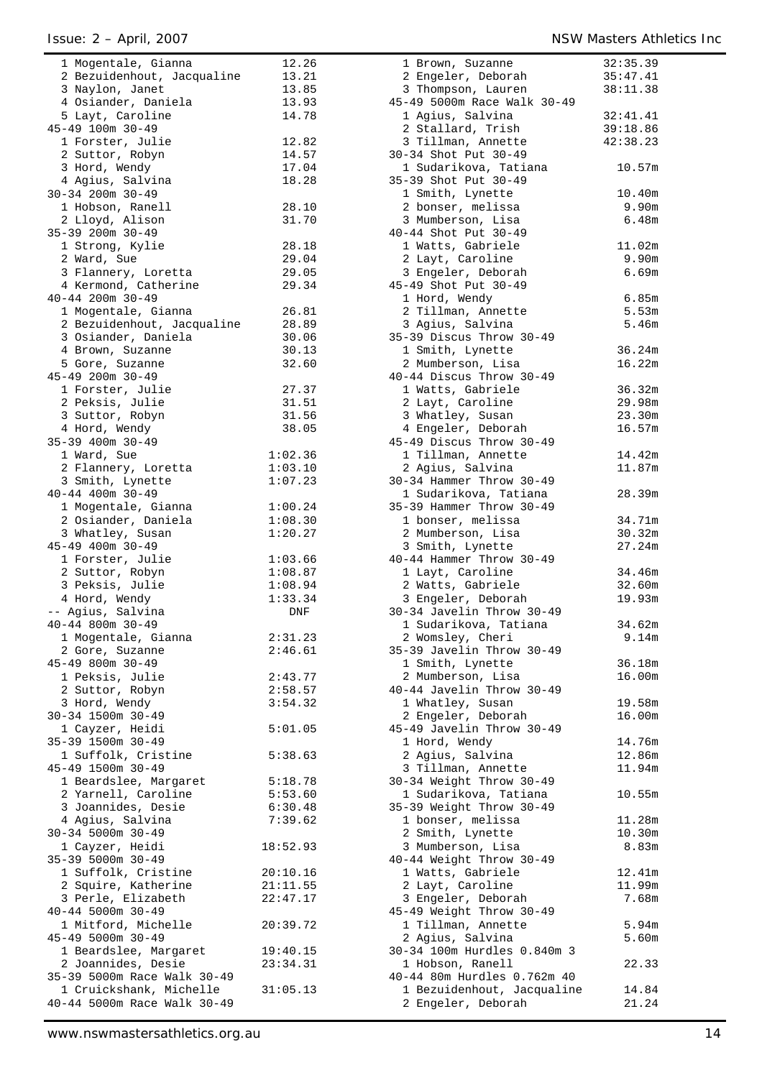| 1 Mogentale, Gianna         | 12.26    |
|-----------------------------|----------|
| 2 Bezuidenhout, Jacqualine  | 13.21    |
|                             |          |
| 3 Naylon, Janet             | 13.85    |
| 4 Osiander, Daniela         | 13.93    |
| 5 Layt, Caroline            | 14.78    |
|                             |          |
| 45-49 100m 30-49            |          |
| 1 Forster, Julie            | 12.82    |
| 2 Suttor, Robyn             | 14.57    |
|                             |          |
| 3 Hord, Wendy               | 17.04    |
| 4 Agius, Salvina            | 18.28    |
| 30-34 200m 30-49            |          |
|                             |          |
| 1 Hobson, Ranell            | 28.10    |
| 2 Lloyd, Alison             | 31.70    |
| 35-39 200m 30-49            |          |
|                             |          |
| 1 Strong, Kylie             | 28.18    |
| 2 Ward, Sue                 | 29.04    |
| 3 Flannery, Loretta         | 29.05    |
|                             |          |
| 4 Kermond, Catherine        | 29.34    |
| $40 - 44$ 200m 30-49        |          |
| 1 Mogentale, Gianna         | 26.81    |
|                             |          |
| 2 Bezuidenhout, Jacqualine  | 28.89    |
| 3 Osiander, Daniela         | 30.06    |
| 4 Brown, Suzanne            | 30.13    |
|                             |          |
| 5 Gore, Suzanne             | 32.60    |
| $45 - 49$ 200m 30-49        |          |
|                             |          |
| 1 Forster, Julie            | 27.37    |
| 2 Peksis, Julie             | 31.51    |
| 3 Suttor, Robyn             | 31.56    |
| 4 Hord, Wendy               | 38.05    |
|                             |          |
| 35-39 400m 30-49            |          |
| 1 Ward, Sue                 | 1:02.36  |
|                             | 1:03.10  |
| 2 Flannery, Loretta         |          |
| 3 Smith, Lynette            | 1:07.23  |
| $40 - 44$ $400m$ $30 - 49$  |          |
|                             |          |
| 1 Mogentale, Gianna         | 1:00.24  |
| 2 Osiander, Daniela         | 1:08.30  |
| 3 Whatley, Susan            | 1:20.27  |
| 45-49 400m 30-49            |          |
|                             |          |
| 1 Forster, Julie            | 1:03.66  |
| 2 Suttor, Robyn             | 1:08.87  |
| 3 Peksis, Julie             | 1:08.94  |
|                             |          |
| 4 Hord, Wendy               | 1:33.34  |
| -- Agius, Salvina           | DNF      |
| $40 - 44$ 800m 30-49        |          |
|                             |          |
| 1 Mogentale, Gianna         | 2:31.23  |
| 2 Gore, Suzanne             | 2:46.61  |
| 45-49 800m 30-49            |          |
|                             |          |
| 1 Peksis, Julie             | 2:43.77  |
| 2 Suttor, Robyn             | 2:58.57  |
| 3 Hord, Wendy               | 3:54.32  |
|                             |          |
| 30-34 1500m 30-49           |          |
| 1 Cayzer, Heidi             | 5:01.05  |
| 35-39 1500m 30-49           |          |
|                             |          |
| 1 Suffolk, Cristine         | 5:38.63  |
| 45-49 1500m 30-49           |          |
|                             | 5:18.78  |
| 1 Beardslee, Margaret       |          |
| 2 Yarnell, Caroline         | 5:53.60  |
| 3 Joannides, Desie          | 6:30.48  |
|                             | 7:39.62  |
| 4 Agius, Salvina            |          |
| 30-34 5000m 30-49           |          |
| 1 Cayzer, Heidi             | 18:52.93 |
|                             |          |
| 35-39 5000m 30-49           |          |
| 1 Suffolk, Cristine         | 20:10.16 |
| 2 Squire, Katherine         | 21:11.55 |
| 3 Perle, Elizabeth          | 22:47.17 |
|                             |          |
| $40 - 44$ 5000m 30-49       |          |
| 1 Mitford, Michelle         | 20:39.72 |
| 45-49 5000m 30-49           |          |
|                             |          |
| 1 Beardslee, Margaret       | 19:40.15 |
| 2 Joannides, Desie          | 23:34.31 |
|                             |          |
| 35-39 5000m Race Walk 30-49 |          |
| 1 Cruickshank, Michelle     | 31:05.13 |
| 40-44 5000m Race Walk 30-49 |          |
|                             |          |

| 1 Brown, Suzanne                                 | 32:35.39       |
|--------------------------------------------------|----------------|
| 2 Engeler, Deborah                               | 35:47.41       |
| 3 Thompson, Lauren                               | 38:11.38       |
|                                                  |                |
| 45-49 5000m Race Walk 30-49                      |                |
| 1 Agius, Salvina                                 | 32:41.41       |
| 2 Stallard, Trish                                | 39:18.86       |
| 3 Tillman, Annette                               | 42:38.23       |
|                                                  |                |
| 30-34 Shot Put 30-49                             |                |
| 1 Sudarikova, Tatiana                            | 10.57m         |
| 35-39 Shot Put 30-49                             |                |
|                                                  |                |
| 1 Smith, Lynette                                 | 10.40m         |
| 2 bonser, melissa                                | 9.90m          |
| 3 Mumberson, Lisa                                | 6.48m          |
| 40-44 Shot Put 30-49                             |                |
|                                                  |                |
| 1 Watts, Gabriele                                | 11.02m         |
| 2 Layt, Caroline                                 | 9.90m          |
| 3 Engeler, Deborah                               | 6.69m          |
|                                                  |                |
| 45-49 Shot Put 30-49                             |                |
| 1 Hord, Wendy                                    | 6.85m          |
| 2 Tillman, Annette                               | 5.53m          |
| 3 Agius, Salvina                                 | 5.46m          |
|                                                  |                |
| 35-39 Discus Throw 30-49                         |                |
| 1 Smith, Lynette                                 | 36.24m         |
| 2 Mumberson, Lisa                                | 16.22m         |
| 40-44 Discus Throw 30-49                         |                |
|                                                  |                |
| 1 Watts, Gabriele                                | 36.32m         |
| 2 Layt, Caroline                                 | 29.98m         |
| 3 Whatley, Susan                                 | 23.30m         |
|                                                  |                |
| 4 Engeler, Deborah                               | 16.57m         |
| 45-49 Discus Throw 30-49                         |                |
| 1 Tillman, Annette                               | 14.42m         |
| 2 Agius, Salvina                                 | 11.87m         |
| 30-34 Hammer Throw 30-49                         |                |
|                                                  |                |
| 1 Sudarikova, Tatiana                            | 28.39m         |
| 35-39 Hammer Throw 30-49                         |                |
| 1 bonser, melissa                                | 34.71m         |
| 2 Mumberson, Lisa                                | 30.32m         |
| 3 Smith, Lynette                                 | 27.24m         |
|                                                  |                |
| 40-44 Hammer Throw 30-49                         |                |
| 1 Layt, Caroline                                 | 34.46m         |
| 2 Watts, Gabriele                                | 32.60m         |
| 3 Engeler, Deborah                               | 19.93m         |
| 30-34 Javelin Throw 30-49                        |                |
|                                                  |                |
| 1 Sudarikova, Tatiana                            | 34.62m         |
| 2 Womsley, Cheri                                 | 9.14m          |
| 35-39 Javelin Throw 30-49                        |                |
| 1 Smith, Lynette                                 | 36.18m         |
|                                                  |                |
| 2 Mumberson, Lisa                                | 16.00m         |
| 40-44 Javelin Throw 30-49                        |                |
| 1 Whatley, Susan                                 | 19.58m         |
| 2 Engeler, Deborah                               | 16.00m         |
|                                                  |                |
| 45-49 Javelin Throw 30-49                        |                |
| 1 Hord, Wendy                                    | 14.76m         |
| 2 Agius, Salvina                                 | 12.86m         |
| 3 Tillman, Annette                               | 11.94m         |
|                                                  |                |
| 30-34 Weight Throw 30-49                         |                |
| 1 Sudarikova, Tatiana                            | 10.55m         |
| 35-39 Weight Throw 30-49                         |                |
| 1 bonser, melissa                                | 11.28m         |
| 2 Smith, Lynette                                 | 10.30m         |
| 3 Mumberson, Lisa                                |                |
|                                                  | 8.83m          |
| 40-44 Weight Throw 30-49                         |                |
| 1 Watts, Gabriele                                | 12.41m         |
| 2 Layt, Caroline                                 | 11.99m         |
| 3 Engeler, Deborah                               | 7.68m          |
|                                                  |                |
| 45-49 Weight Throw 30-49                         |                |
| 1 Tillman, Annette                               | 5.94m          |
| 2 Agius, Salvina                                 | 5.60m          |
| 30-34 100m Hurdles 0.840m 3                      |                |
| 1 Hobson, Ranell                                 | 22.33          |
| 40-44 80m Hurdles 0.762m 40                      |                |
|                                                  |                |
|                                                  |                |
| 1 Bezuidenhout, Jacqualine<br>2 Engeler, Deborah | 14.84<br>21.24 |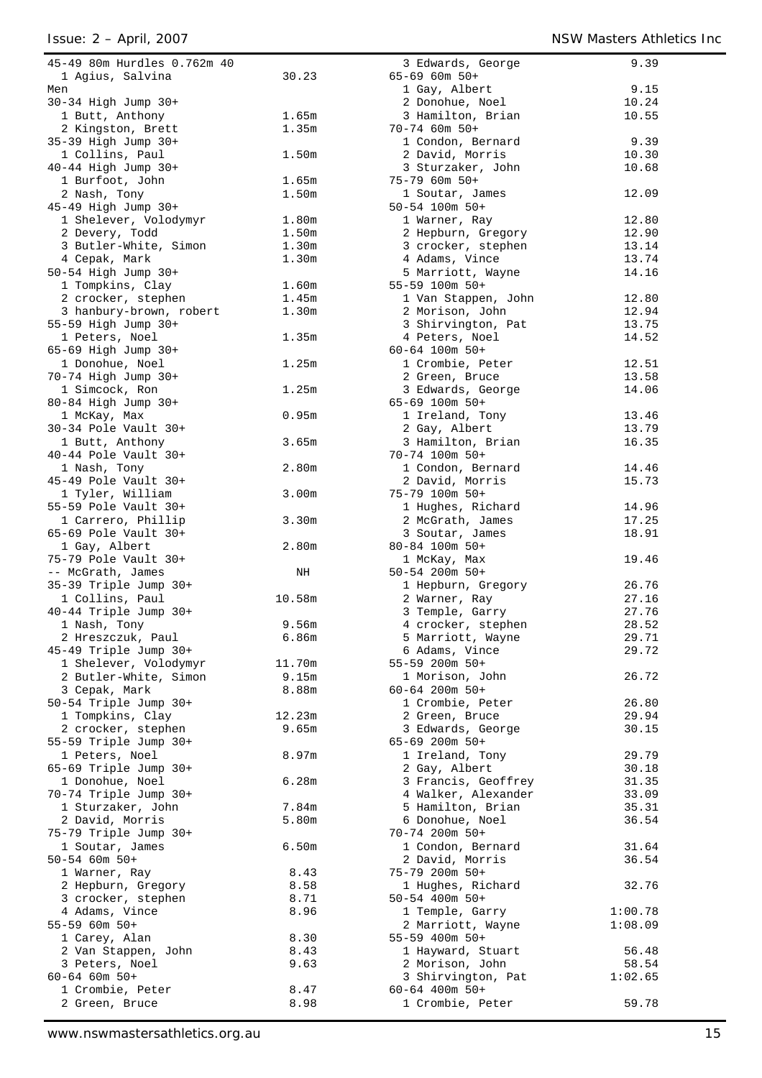| 45-49 80m Hurdles 0.762m 40 |                   | 3 Edwards, George     | 9.39    |
|-----------------------------|-------------------|-----------------------|---------|
| 1 Agius, Salvina            | 30.23             | $65 - 69$ 60m $50 +$  |         |
|                             |                   |                       |         |
| Men                         |                   | 1 Gay, Albert         | 9.15    |
| 30-34 High Jump 30+         |                   | 2 Donohue, Noel       | 10.24   |
|                             |                   |                       |         |
| 1 Butt, Anthony             | 1.65m             | 3 Hamilton, Brian     | 10.55   |
| 2 Kingston, Brett           | 1.35m             | $70 - 74$ 60m 50+     |         |
| 35-39 High Jump 30+         |                   | 1 Condon, Bernard     | 9.39    |
|                             |                   |                       |         |
| 1 Collins, Paul             | 1.50m             | 2 David, Morris       | 10.30   |
| $40-44$ High Jump $30+$     |                   | 3 Sturzaker, John     | 10.68   |
|                             |                   |                       |         |
| 1 Burfoot, John             | 1.65m             | $75 - 79$ 60m $50 +$  |         |
| 2 Nash, Tony                | 1.50m             | 1 Soutar, James       | 12.09   |
|                             |                   |                       |         |
| 45-49 High Jump 30+         |                   | $50 - 54$ 100m $50 +$ |         |
| 1 Shelever, Volodymyr       | 1.80m             | 1 Warner, Ray         | 12.80   |
| 2 Devery, Todd              | 1.50 <sub>m</sub> | 2 Hepburn, Gregory    | 12.90   |
|                             |                   |                       |         |
| 3 Butler-White, Simon       | 1.30m             | 3 crocker, stephen    | 13.14   |
| 4 Cepak, Mark               | 1.30m             | 4 Adams, Vince        | 13.74   |
|                             |                   |                       |         |
| 50-54 High Jump 30+         |                   | 5 Marriott, Wayne     | 14.16   |
| 1 Tompkins, Clay            | 1.60m             | 55-59 100m 50+        |         |
| 2 crocker, stephen          | 1.45m             | 1 Van Stappen, John   | 12.80   |
|                             |                   |                       |         |
| 3 hanbury-brown, robert     | 1.30m             | 2 Morison, John       | 12.94   |
| 55-59 High Jump 30+         |                   | 3 Shirvington, Pat    | 13.75   |
|                             |                   |                       |         |
| 1 Peters, Noel              | 1.35m             | 4 Peters, Noel        | 14.52   |
| 65-69 High Jump 30+         |                   | $60 - 64$ 100m $50 +$ |         |
| 1 Donohue, Noel             | 1.25m             | 1 Crombie, Peter      | 12.51   |
|                             |                   |                       |         |
| 70-74 High Jump 30+         |                   | 2 Green, Bruce        | 13.58   |
| 1 Simcock, Ron              | 1.25m             | 3 Edwards, George     | 14.06   |
|                             |                   |                       |         |
| 80-84 High Jump 30+         |                   | 65-69 100m 50+        |         |
| 1 McKay, Max                | 0.95m             | 1 Ireland, Tony       | 13.46   |
| 30-34 Pole Vault 30+        |                   | 2 Gay, Albert         | 13.79   |
|                             |                   |                       |         |
| 1 Butt, Anthony             | 3.65m             | 3 Hamilton, Brian     | 16.35   |
| $40-44$ Pole Vault $30+$    |                   | 70-74 100m 50+        |         |
|                             |                   |                       |         |
| 1 Nash, Tony                | 2.80m             | 1 Condon, Bernard     | 14.46   |
| $45-49$ Pole Vault $30+$    |                   | 2 David, Morris       | 15.73   |
| 1 Tyler, William            | 3.00m             | 75-79 100m 50+        |         |
|                             |                   |                       |         |
| 55-59 Pole Vault 30+        |                   | 1 Hughes, Richard     | 14.96   |
| 1 Carrero, Phillip          | 3.30m             | 2 McGrath, James      | 17.25   |
|                             |                   |                       |         |
| 65-69 Pole Vault 30+        |                   | 3 Soutar, James       | 18.91   |
| 1 Gay, Albert               | 2.80m             | 80-84 100m 50+        |         |
| 75-79 Pole Vault 30+        |                   | 1 McKay, Max          | 19.46   |
|                             |                   |                       |         |
| -- McGrath, James           | NH                | 50-54 200m 50+        |         |
| 35-39 Triple Jump 30+       |                   | 1 Hepburn, Gregory    | 26.76   |
|                             |                   |                       |         |
| 1 Collins, Paul             | 10.58m            | 2 Warner, Ray         | 27.16   |
| $40-44$ Triple Jump $30+$   |                   | 3 Temple, Garry       | 27.76   |
|                             | 9.56m             |                       | 28.52   |
| 1 Nash, Tony                |                   | 4 crocker, stephen    |         |
| 2 Hreszczuk, Paul           | 6.86m             | 5 Marriott, Wayne     | 29.71   |
| 45-49 Triple Jump 30+       |                   | 6 Adams, Vince        | 29.72   |
|                             |                   |                       |         |
| 1 Shelever, Volodymyr       | 11.70m            | 55-59 200m 50+        |         |
| 2 Butler-White, Simon       | 9.15m             | 1 Morison, John       | 26.72   |
| 3 Cepak, Mark               | 8.88m             | $60 - 64$ 200m $50 +$ |         |
|                             |                   |                       |         |
| 50-54 Triple Jump 30+       |                   | 1 Crombie, Peter      | 26.80   |
| 1 Tompkins, Clay            | 12.23m            | 2 Green, Bruce        | 29.94   |
|                             |                   |                       |         |
| 2 crocker, stephen          | 9.65m             | 3 Edwards, George     | 30.15   |
| 55-59 Triple Jump 30+       |                   | 65-69 200m 50+        |         |
| 1 Peters, Noel              | 8.97m             | 1 Ireland, Tony       | 29.79   |
|                             |                   |                       |         |
| 65-69 Triple Jump 30+       |                   | 2 Gay, Albert         | 30.18   |
| 1 Donohue, Noel             | 6.28m             | 3 Francis, Geoffrey   | 31.35   |
|                             |                   |                       |         |
| 70-74 Triple Jump 30+       |                   | 4 Walker, Alexander   | 33.09   |
| 1 Sturzaker, John           | 7.84m             | 5 Hamilton, Brian     | 35.31   |
| 2 David, Morris             | 5.80m             | 6 Donohue, Noel       | 36.54   |
|                             |                   |                       |         |
| 75-79 Triple Jump 30+       |                   | 70-74 200m 50+        |         |
| 1 Soutar, James             | 6.50m             | 1 Condon, Bernard     | 31.64   |
| $50 - 54$ 60m $50 +$        |                   | 2 David, Morris       | 36.54   |
|                             |                   |                       |         |
| 1 Warner, Ray               | 8.43              | 75-79 200m 50+        |         |
| 2 Hepburn, Gregory          | 8.58              | 1 Hughes, Richard     | 32.76   |
|                             |                   |                       |         |
| 3 crocker, stephen          | 8.71              | $50 - 54$ 400m $50 +$ |         |
| 4 Adams, Vince              | 8.96              | 1 Temple, Garry       | 1:00.78 |
| 55-59 60m 50+               |                   | 2 Marriott, Wayne     | 1:08.09 |
|                             |                   |                       |         |
| 1 Carey, Alan               | 8.30              | 55-59 400m 50+        |         |
| 2 Van Stappen, John         | 8.43              | 1 Hayward, Stuart     | 56.48   |
|                             |                   |                       |         |
| 3 Peters, Noel              | 9.63              | 2 Morison, John       | 58.54   |
| $60 - 64$ 60m 50+           |                   | 3 Shirvington, Pat    | 1:02.65 |
|                             |                   |                       |         |
| 1 Crombie, Peter            | 8.47              | $60 - 64$ 400m $50 +$ |         |
| 2 Green, Bruce              | 8.98              | 1 Crombie, Peter      | 59.78   |
|                             |                   |                       |         |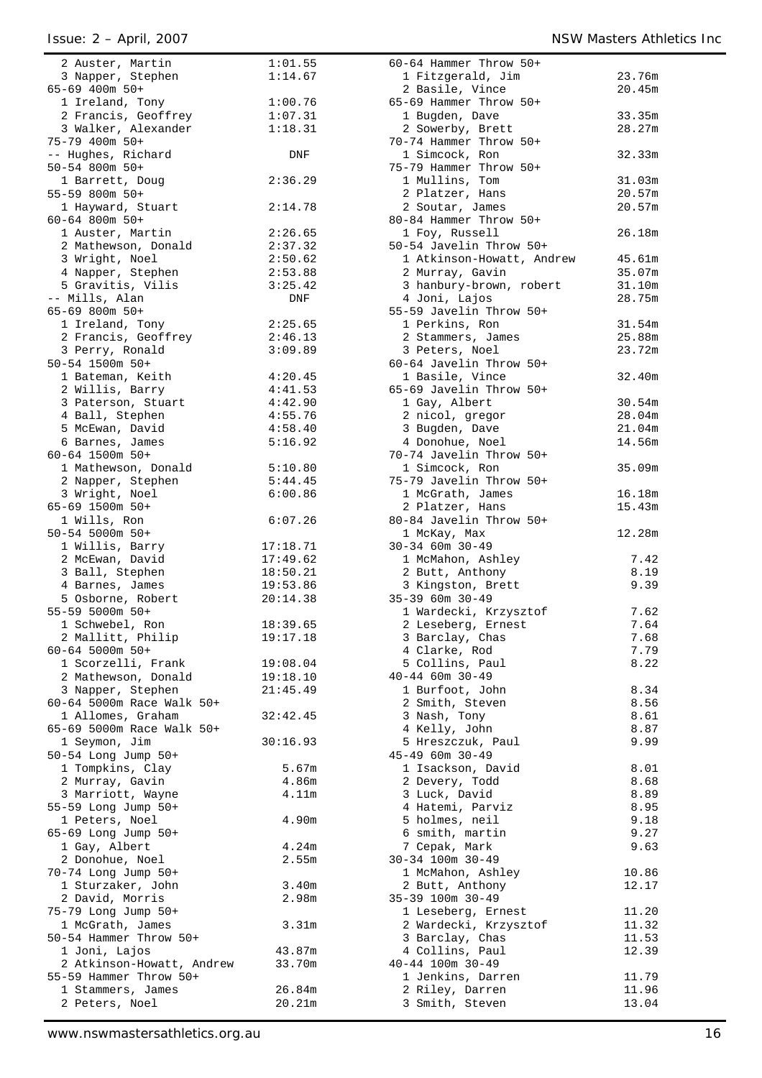| 2 Auster, Martin          | 1:01.55  |  |
|---------------------------|----------|--|
| 3 Napper, Stephen         | 1:14.67  |  |
|                           |          |  |
| 65-69 400m 50+            |          |  |
|                           |          |  |
| 1 Ireland, Tony           | 1:00.76  |  |
| 2 Francis, Geoffrey       | 1:07.31  |  |
|                           |          |  |
| 3 Walker, Alexander       | 1:18.31  |  |
| 75-79 400m 50+            |          |  |
|                           |          |  |
| -- Hughes, Richard        | DNF      |  |
|                           |          |  |
| 50-54 800m 50+            |          |  |
|                           |          |  |
| 1 Barrett, Doug           | 2:36.29  |  |
| 55-59 800m 50+            |          |  |
|                           |          |  |
| 1 Hayward, Stuart         | 2:14.78  |  |
|                           |          |  |
| $60 - 64$ 800m $50 +$     |          |  |
| 1 Auster, Martin          | 2:26.65  |  |
|                           |          |  |
| 2 Mathewson, Donald       | 2:37.32  |  |
|                           |          |  |
| 3 Wright, Noel            | 2:50.62  |  |
| 4 Napper, Stephen         | 2:53.88  |  |
|                           |          |  |
| 5 Gravitis, Vilis         | 3:25.42  |  |
| -- Mills, Alan            |          |  |
|                           | DNF      |  |
| 65-69 800m 50+            |          |  |
|                           |          |  |
| 1 Ireland, Tony           | 2:25.65  |  |
| 2 Francis, Geoffrey       | 2:46.13  |  |
|                           |          |  |
| 3 Perry, Ronald           | 3:09.89  |  |
|                           |          |  |
| 50-54 1500m 50+           |          |  |
| 1 Bateman, Keith          | 4:20.45  |  |
|                           |          |  |
| 2 Willis, Barry           | 4:41.53  |  |
|                           |          |  |
| 3 Paterson, Stuart        | 4:42.90  |  |
|                           |          |  |
| 4 Ball, Stephen           | 4:55.76  |  |
| 5 McEwan, David           | 4:58.40  |  |
|                           |          |  |
| 6 Barnes, James           | 5:16.92  |  |
|                           |          |  |
| $60 - 64$ 1500m 50+       |          |  |
| 1 Mathewson, Donald       | 5:10.80  |  |
|                           |          |  |
| 2 Napper, Stephen         | 5:44.45  |  |
|                           |          |  |
| 3 Wright, Noel            | 6:00.86  |  |
| 65-69 1500m 50+           |          |  |
|                           |          |  |
| 1 Wills, Ron              | 6:07.26  |  |
|                           |          |  |
| 50-54 5000m 50+           |          |  |
| 1 Willis, Barry           | 17:18.71 |  |
|                           |          |  |
| 2 McEwan, David           | 17:49.62 |  |
|                           | 18:50.21 |  |
| 3 Ball, Stephen           |          |  |
| 4 Barnes, James           | 19:53.86 |  |
|                           |          |  |
| 5 Osborne, Robert         | 20:14.38 |  |
| 55-59 5000m 50+           |          |  |
|                           |          |  |
| 1 Schwebel, Ron           | 18:39.65 |  |
|                           |          |  |
| 2 Mallitt, Philip         | 19:17.18 |  |
| $60 - 64$ 5000m 50+       |          |  |
|                           |          |  |
| 1 Scorzelli, Frank        | 19:08.04 |  |
|                           |          |  |
| 2 Mathewson, Donald       | 19:18.10 |  |
| 3 Napper, Stephen         | 21:45.49 |  |
|                           |          |  |
| 60-64 5000m Race Walk 50+ |          |  |
|                           |          |  |
| 1 Allomes, Graham         | 32:42.45 |  |
| 65-69 5000m Race Walk 50+ |          |  |
|                           |          |  |
| 1 Seymon, Jim             | 30:16.93 |  |
|                           |          |  |
| 50-54 Long Jump 50+       |          |  |
| 1 Tompkins, Clay          | 5.67m    |  |
|                           |          |  |
| 2 Murray, Gavin           | 4.86m    |  |
|                           |          |  |
| 3 Marriott, Wayne         | 4.11m    |  |
|                           |          |  |
| 55-59 Long Jump 50+       |          |  |
| 1 Peters, Noel            | 4.90m    |  |
|                           |          |  |
| 65-69 Long Jump 50+       |          |  |
|                           | 4.24m    |  |
| 1 Gay, Albert             |          |  |
| 2 Donohue, Noel           | 2.55m    |  |
|                           |          |  |
| 70-74 Long Jump 50+       |          |  |
| 1 Sturzaker, John         | 3.40m    |  |
|                           |          |  |
| 2 David, Morris           | 2.98m    |  |
|                           |          |  |
| 75-79 Long Jump 50+       |          |  |
|                           | 3.31m    |  |
| 1 McGrath, James          |          |  |
| 50-54 Hammer Throw 50+    |          |  |
|                           |          |  |
| 1 Joni, Lajos             | 43.87m   |  |
| 2 Atkinson-Howatt, Andrew |          |  |
|                           | 33.70m   |  |
| 55-59 Hammer Throw 50+    |          |  |
|                           |          |  |
| 1 Stammers, James         | 26.84m   |  |
| 2 Peters, Noel            | 20.21m   |  |
|                           |          |  |

| 60-64 Hammer Throw 50+             |                |
|------------------------------------|----------------|
| 1 Fitzgerald, Jim                  | 23.76m         |
| 2 Basile, Vince                    | 20.45m         |
|                                    |                |
| 65-69 Hammer Throw 50+             |                |
| 1 Bugden, Dave                     | 33.35m         |
| 2 Sowerby, Brett                   | 28.27m         |
|                                    |                |
| 70-74 Hammer Throw 50+             |                |
| 1 Simcock, Ron                     | 32.33m         |
| 75-79 Hammer Throw 50+             |                |
|                                    | 31.03m         |
| 1 Mullins, Tom<br>2 Platzer, Hans  |                |
|                                    | 20.57m         |
| 2 Soutar, James                    | 20.57m         |
| 80-84 Hammer Throw 50+             |                |
|                                    |                |
| 1 Foy, Russell                     | 26.18m         |
| 50-54 Javelin Throw 50+            |                |
| 1 Atkinson-Howatt, Andrew          | 45.61m         |
| 2 Murray, Gavin                    | 35.07m         |
|                                    |                |
| 3 hanbury-brown, robert            | 31.10m         |
| 4 Joni, Lajos                      | 28.75m         |
| 55-59 Javelin Throw 50+            |                |
|                                    |                |
| 1 Perkins, Ron                     | 31.54m         |
| 2 Stammers, James                  | 25.88m         |
| 3 Peters, Noel                     | 23.72m         |
| 60-64 Javelin Throw 50+            |                |
|                                    |                |
| 1 Basile, Vince                    | 32.40m         |
| 65-69 Javelin Throw 50+            |                |
| 1 Gay, Albert                      | 30.54m         |
|                                    |                |
| 2 nicol, gregor                    | 28.04m         |
| 3 Bugden, Dave                     | 21.04m         |
| 4 Donohue, Noel                    | 14.56m         |
|                                    |                |
| 70-74 Javelin Throw 50+            |                |
| 1 Simcock, Ron                     | 35.09m         |
| 75-79 Javelin Throw 50+            |                |
| 1 McGrath, James                   | 16.18m         |
|                                    |                |
| 2 Platzer, Hans                    | 15.43m         |
| 80-84 Javelin Throw 50+            |                |
| 1 McKay, Max                       | 12.28m         |
|                                    |                |
|                                    |                |
| 30-34 60m 30-49                    |                |
| 1 McMahon, Ashley                  | 7.42           |
|                                    |                |
| 2 Butt, Anthony                    | 8.19           |
| 3 Kingston, Brett                  | 9.39           |
| $35-39$ 60m $30-49$                |                |
|                                    | 7.62           |
| 1 Wardecki, Krzysztof              |                |
| 2 Leseberg, Ernest                 | 7.64           |
| 3 Barclay, Chas                    | 7.68           |
| 4 Clarke, Rod                      | 7.79           |
|                                    |                |
| 5 Collins, Paul                    | 8.22           |
| $40 - 44$ 60m $30 - 49$            |                |
| 1 Burfoot, John                    | 8.34           |
| 2 Smith, Steven                    | 8.56           |
|                                    |                |
| 3 Nash, Tony                       | 8.61           |
| 4 Kelly, John                      | $8\,. \, 8\,7$ |
| 5 Hreszczuk, Paul                  | 9.99           |
| $45 - 49$ 60m $30 - 49$            |                |
|                                    |                |
| 1 Isackson, David                  | 8.01           |
| 2 Devery, Todd                     | 8.68           |
| 3 Luck, David                      | 8.89           |
|                                    | 8.95           |
| 4 Hatemi, Parviz                   |                |
| 5 holmes, neil                     | 9.18           |
| 6 smith, martin                    | 9.27           |
| 7 Cepak, Mark                      | 9.63           |
| 30-34 100m 30-49                   |                |
|                                    |                |
| 1 McMahon, Ashley                  | 10.86          |
| 2 Butt, Anthony                    | 12.17          |
| 35-39 100m 30-49                   |                |
|                                    |                |
| 1 Leseberg, Ernest                 | 11.20          |
| 2 Wardecki, Krzysztof              | 11.32          |
| 3 Barclay, Chas                    | 11.53          |
|                                    | 12.39          |
| 4 Collins, Paul                    |                |
| $40 - 44$ 100m 30-49               |                |
| 1 Jenkins, Darren                  | 11.79          |
| 2 Riley, Darren<br>3 Smith, Steven | 11.96<br>13.04 |

www.nswmastersathletics.org.au intervention of the control of the control of the control of the control of the control of the control of the control of the control of the control of the control of the control of the contro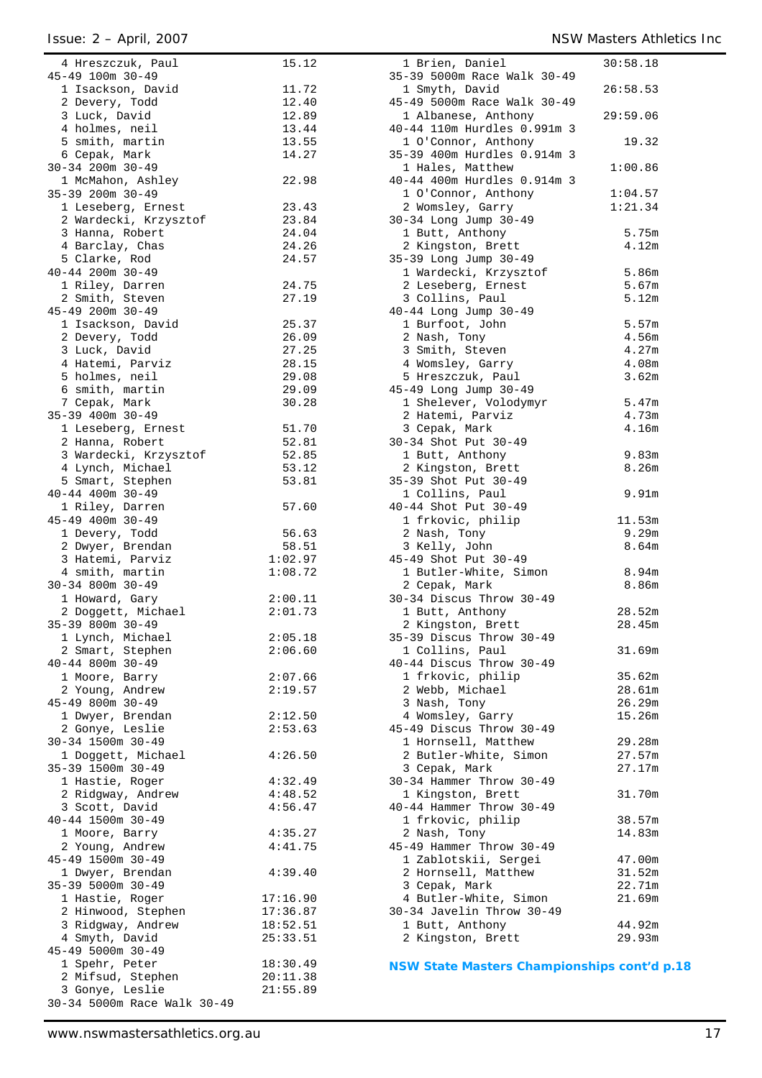| 4 Hreszczuk, Paul                     | 15.12                |
|---------------------------------------|----------------------|
| 45-49 100m 30-49                      |                      |
| 1 Isackson, David<br>2 Devery, Todd   | 11.72<br>12.40       |
| 3 Luck, David                         | 12.89                |
| 4 holmes, neil                        | 13.44                |
| 5 smith, martin                       | 13.55                |
| 6 Cepak, Mark                         | 14.27                |
| 30-34 200m 30-49                      |                      |
| 1 McMahon, Ashley                     | 22.98                |
| 35-39 200m 30-49                      |                      |
| 1 Leseberg, Ernest                    | 23.43                |
| 2 Wardecki, Krzysztof                 | 23.84                |
| 3 Hanna, Robert                       | 24.04                |
| 4 Barclay, Chas<br>5 Clarke, Rod      | 24.26<br>24.57       |
| $40 - 44$ 200m 30-49                  |                      |
| 1 Riley, Darren                       | 24.75                |
| 2 Smith, Steven                       | 27.19                |
| 45-49 200m 30-49                      |                      |
| 1 Isackson, David                     | 25.37                |
| 2 Devery, Todd                        | 26.09                |
| 3 Luck, David                         | 27.25                |
| 4 Hatemi, Parviz                      | 28.15                |
| 5 holmes, neil                        | 29.08                |
| 6 smith, martin                       | 29.09                |
| 7 Cepak, Mark                         | 30.28                |
| 35-39 400m 30-49                      |                      |
| 1 Leseberg, Ernest<br>2 Hanna, Robert | 51.70<br>52.81       |
| 3 Wardecki, Krzysztof                 | 52.85                |
| 4 Lynch, Michael                      | 53.12                |
| 5 Smart, Stephen                      | 53.81                |
| $40 - 44$ $400m$ $30 - 49$            |                      |
| 1 Riley, Darren                       | 57.60                |
| $45 - 49$ $400m$ $30 - 49$            |                      |
| 1 Devery, Todd                        | 56.63                |
| 2 Dwyer, Brendan                      | 58.51                |
| 3 Hatemi, Parviz                      | 1:02.97              |
| 4 smith, martin<br>30-34 800m 30-49   | 1:08.72              |
| 1 Howard, Gary                        | 2:00.11              |
| 2 Doggett, Michael                    | 2:01.73              |
| 35-39 800m 30-49                      |                      |
| 1 Lynch, Michael                      | 2:05.18              |
| 2 Smart, Stephen                      | 2:06.60              |
| $40 - 44$ 800m 30-49                  |                      |
| 1 Moore, Barry                        | 2:07.66              |
| 2 Young, Andrew                       | 2:19.57              |
| 45-49 800m 30-49                      |                      |
| 1 Dwyer, Brendan                      | 2:12.50              |
| 2 Gonye, Leslie<br>30-34 1500m 30-49  | 2:53.63              |
| 1 Doggett, Michael                    | 4:26.50              |
| 35-39 1500m 30-49                     |                      |
| 1 Hastie, Roger                       | 4:32.49              |
| 2 Ridgway, Andrew                     | 4:48.52              |
| 3 Scott, David                        | 4:56.47              |
| 40-44 1500m 30-49                     |                      |
| 1 Moore, Barry                        | 4:35.27              |
| 2 Young, Andrew                       | 4:41.75              |
| 45-49 1500m 30-49                     |                      |
| 1 Dwyer, Brendan                      | 4:39.40              |
| 35-39 5000m 30-49                     |                      |
| 1 Hastie, Roger<br>2 Hinwood, Stephen | 17:16.90<br>17:36.87 |
| 3 Ridgway, Andrew                     | 18:52.51             |
| 4 Smyth, David                        | 25:33.51             |
| 45-49 5000m 30-49                     |                      |
| 1 Spehr, Peter                        | 18:30.49             |
| 2 Mifsud, Stephen                     | 20:11.38             |
| 3 Gonye, Leslie                       | 21:55.89             |
| 30-34 5000m Race Walk 30-49           |                      |

| 1 Brien, Daniel                                 | 30:58.18         |
|-------------------------------------------------|------------------|
| 35-39 5000m Race Walk 30-49                     |                  |
| 1 Smyth, David                                  | 26:58.53         |
| 45-49 5000m Race Walk 30-49                     |                  |
| 1 Albanese, Anthony                             | 29:59.06         |
| 40-44 110m Hurdles 0.991m 3                     |                  |
| 1 O'Connor, Anthony                             | 19.32            |
| 35-39 400m Hurdles 0.914m 3                     |                  |
| 1 Hales, Matthew<br>40-44 400m Hurdles 0.914m 3 | 1:00.86          |
| 1 O'Connor, Anthony                             | 1:04.57          |
| 2 Womsley, Garry                                | 1:21.34          |
| 30-34 Long Jump 30-49                           |                  |
| 1 Butt, Anthony                                 | 5.75m            |
| 2 Kingston, Brett                               | 4.12m            |
| 35-39 Long Jump 30-49                           |                  |
| 1 Wardecki, Krzysztof                           | 5.86m            |
| 2 Leseberg, Ernest                              | 5.67m            |
| 3 Collins, Paul                                 | 5.12m            |
| 40-44 Long Jump 30-49                           |                  |
| 1 Burfoot, John                                 | 5.57m            |
| 2 Nash, Tony                                    | 4.56m            |
| 3 Smith, Steven                                 | 4.27m            |
| 4 Womsley, Garry                                | 4.08m            |
| 5 Hreszczuk, Paul<br>45-49 Long Jump 30-49      | 3.62m            |
| 1 Shelever, Volodymyr                           | 5.47m            |
| 2 Hatemi, Parviz                                | 4.73m            |
| 3 Cepak, Mark                                   | 4.16m            |
| 30-34 Shot Put 30-49                            |                  |
| 1 Butt, Anthony                                 | 9.83m            |
| 2 Kingston, Brett                               | 8.26m            |
| 35-39 Shot Put 30-49                            |                  |
| 1 Collins, Paul                                 | 9.91m            |
| 40-44 Shot Put 30-49                            |                  |
| 1 frkovic, philip                               |                  |
|                                                 | 11.53m           |
| 2 Nash, Tony                                    | 9.29m            |
| 3 Kelly, John                                   | 8.64m            |
| 45-49 Shot Put 30-49                            |                  |
| 1 Butler-White, Simon                           | 8.94m            |
| 2 Cepak, Mark                                   | 8.86m            |
| 30-34 Discus Throw 30-49                        |                  |
| 1 Butt, Anthony                                 | 28.52m<br>28.45m |
| 2 Kingston, Brett<br>35-39 Discus Throw 30-49   |                  |
| 1 Collins, Paul                                 | 31.69m           |
| 40-44 Discus Throw 30-49                        |                  |
| 1 frkovic, philip                               | 35.62m           |
| 2 Webb, Michael                                 | 28.61m           |
| 3 Nash, Tony                                    | 26.29m           |
| 4 Womsley, Garry                                | 15.26m           |
| 45-49 Discus Throw 30-49                        |                  |
| 1 Hornsell, Matthew                             | 29.28m           |
| 2 Butler-White, Simon                           | 27.57m           |
| 3 Cepak, Mark                                   | 27.17m           |
| 30-34 Hammer Throw 30-49                        |                  |
| 1 Kingston, Brett                               | 31.70m           |
| 40-44 Hammer Throw 30-49                        | 38.57m           |
| 1 frkovic, philip<br>2 Nash, Tony               | 14.83m           |
| 45-49 Hammer Throw 30-49                        |                  |
| 1 Zablotskii, Sergei                            | 47.00m           |
| 2 Hornsell, Matthew                             | 31.52m           |
| 3 Cepak, Mark                                   | 22.71m           |
| 4 Butler-White, Simon                           | 21.69m           |
| 30-34 Javelin Throw 30-49                       |                  |
| 1 Butt, Anthony<br>2 Kingston, Brett            | 44.92m<br>29.93m |

**NSW State Masters Championships cont'd p.18**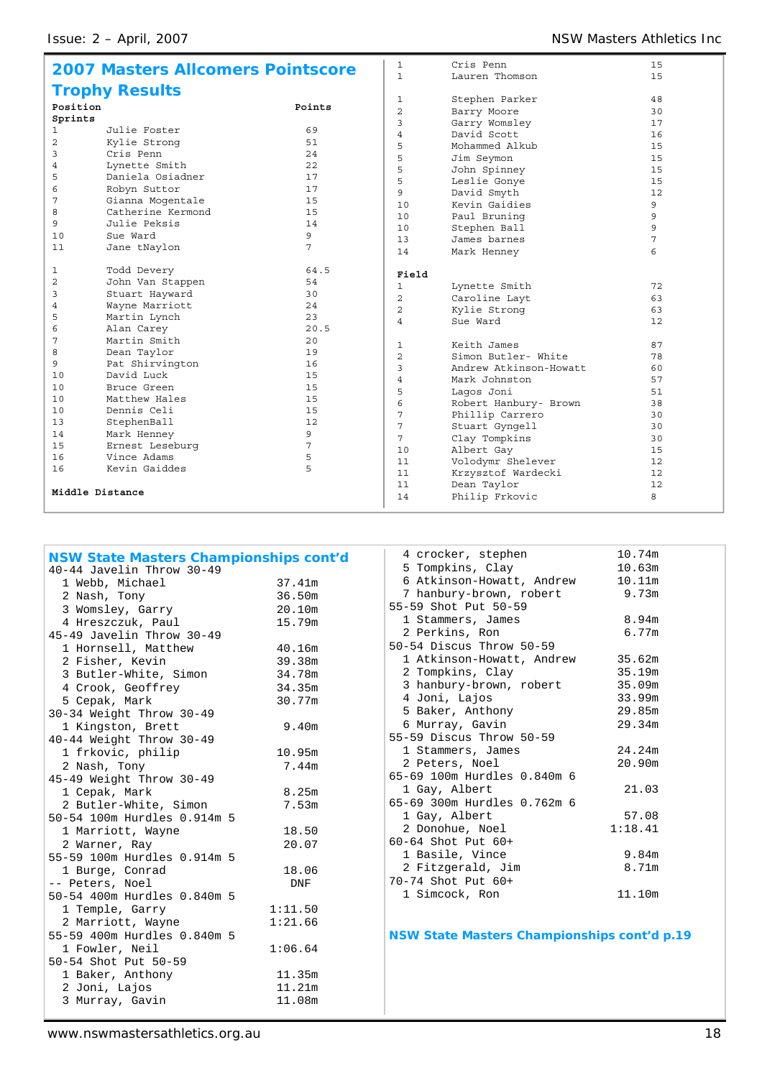| <b>2007 Masters Allcomers Pointscore</b> |                       | 1<br>$\mathbf{1}$ | Cris Penn<br>Lauren Thomson | 15<br>15               |    |
|------------------------------------------|-----------------------|-------------------|-----------------------------|------------------------|----|
|                                          | <b>Trophy Results</b> |                   |                             |                        |    |
|                                          |                       |                   | $\mathbf 1$                 | Stephen Parker         | 48 |
| Position                                 |                       | Points            | $\overline{a}$              | Barry Moore            | 30 |
| Sprints                                  |                       |                   | 3                           | Garry Womsley          | 17 |
| 1                                        | Julie Foster          | 69                | $\overline{4}$              | David Scott            | 16 |
| $\overline{a}$                           | Kylie Stronq          | 51                | 5                           | Mohammed Alkub         | 15 |
| 3                                        | Cris Penn             | 2.4               | $\overline{5}$              | Jim Seymon             | 15 |
| 4                                        | Lynette Smith         | 22                | 5                           | John Spinney           | 15 |
| 5                                        | Daniela Osiadner      | 17                | 5                           | Leslie Gonye           | 15 |
| 6                                        | Robyn Suttor          | 17                | 9                           | David Smyth            | 12 |
| 7                                        | Gianna Mogentale      | 15                | 10                          | Kevin Gaidies          | 9  |
| 8                                        | Catherine Kermond     | 15                | 10                          | Paul Bruning           | 9  |
| 9                                        | Julie Peksis          | 14                | 10                          | Stephen Ball           | 9  |
| 10                                       | Sue Ward              | 9                 | 13                          | James barnes           | 7  |
| 11                                       | Jane tNaylon          | 7                 | 14                          | Mark Henney            | 6  |
| 1                                        | Todd Devery           | 64.5              | Field                       |                        |    |
| $\overline{2}$                           | John Van Stappen      | 54                | $\mathbf{1}$                | Lynette Smith          | 72 |
| 3                                        | Stuart Hayward        | 30                | $\overline{a}$              | Caroline Layt          | 63 |
| 4                                        | Wayne Marriott        | 24                | $\overline{c}$              | Kylie Strong           | 63 |
| 5                                        | Martin Lynch          | 23                | $\overline{4}$              | Sue Ward               | 12 |
| 6                                        | Alan Carey            | 20.5              |                             |                        |    |
| 7                                        | Martin Smith          | 20                | $\mathbf{1}$                | Keith James            | 87 |
| 8                                        | Dean Taylor           | 19                | $\overline{a}$              | Simon Butler- White    | 78 |
| 9                                        | Pat Shirvington       | 16                | 3                           | Andrew Atkinson-Howatt | 60 |
| 10                                       | David Luck            | 15                | $\overline{4}$              | Mark Johnston          | 57 |
| 10                                       | Bruce Green           | 15                | 5                           | Lagos Joni             | 51 |
| 10                                       | Matthew Hales         | 15                | 6                           | Robert Hanbury- Brown  | 38 |
| 10                                       | Dennis Celi           | 15                | 7                           | Phillip Carrero        | 30 |
| 13                                       | StephenBall           | 12                | 7                           | Stuart Gyngell         | 30 |
| 14                                       | Mark Henney           | 9                 | 7                           | Clay Tompkins          | 30 |
| 15                                       | Ernest Leseburg       | 7                 | 10                          | Albert Gay             | 15 |
| 16                                       | Vince Adams           | 5                 | 11                          | Volodymr Shelever      | 12 |
| 16                                       | Kevin Gaiddes         | 5                 | 11                          | Krzysztof Wardecki     | 12 |
|                                          |                       |                   | 11                          | Dean Taylor            | 12 |
|                                          | Middle Distance       |                   | 14                          | Philip Frkovic         | 8  |

| <b>NSW State Masters Championships cont'd</b> |            | 4 crocker, stephen                          | 10.74m  |
|-----------------------------------------------|------------|---------------------------------------------|---------|
| 40-44 Javelin Throw 30-49                     |            | 5 Tompkins, Clay                            | 10.63m  |
| 1 Webb, Michael                               | 37.41m     | 6 Atkinson-Howatt, Andrew                   | 10.11m  |
| 2 Nash, Tony                                  | 36.50m     | 7 hanbury-brown, robert                     | 9.73m   |
| 3 Womsley, Garry                              | 20.10m     | 55-59 Shot Put 50-59                        |         |
| 4 Hreszczuk, Paul                             | 15.79m     | 1 Stammers, James                           | 8.94m   |
| 45-49 Javelin Throw 30-49                     |            | 2 Perkins, Ron                              | 6.77m   |
| 1 Hornsell, Matthew                           | 40.16m     | 50-54 Discus Throw 50-59                    |         |
| 2 Fisher, Kevin                               | 39.38m     | 1 Atkinson-Howatt, Andrew                   | 35.62m  |
| 3 Butler-White, Simon                         | 34.78m     | 2 Tompkins, Clay                            | 35.19m  |
| 4 Crook, Geoffrey                             | 34.35m     | 3 hanbury-brown, robert                     | 35.09m  |
| 5 Cepak, Mark                                 | 30.77m     | 4 Joni, Lajos                               | 33.99m  |
| 30-34 Weight Throw 30-49                      |            | 5 Baker, Anthony                            | 29.85m  |
| 1 Kingston, Brett                             | 9.40m      | 6 Murray, Gavin                             | 29.34m  |
| 40-44 Weight Throw 30-49                      |            | 55-59 Discus Throw 50-59                    |         |
| 1 frkovic, philip                             | 10.95m     | 1 Stammers, James                           | 24.24m  |
| 2 Nash, Tony                                  | 7.44m      | 2 Peters, Noel                              | 20.90m  |
| 45-49 Weight Throw 30-49                      |            | 65-69 100m Hurdles 0.840m 6                 |         |
| 1 Cepak, Mark                                 | 8.25m      | 1 Gay, Albert                               | 21.03   |
| 2 Butler-White, Simon                         | 7.53m      | 65-69 300m Hurdles 0.762m 6                 |         |
| 50-54 100m Hurdles 0.914m 5                   |            | 1 Gay, Albert                               | 57.08   |
| 1 Marriott, Wayne                             | 18.50      | 2 Donohue, Noel                             | 1:18.41 |
| 2 Warner, Ray                                 | 20.07      | $60-64$ Shot Put $60+$                      |         |
| 55-59 100m Hurdles 0.914m 5                   |            | 1 Basile, Vince                             | 9.84m   |
| 1 Burge, Conrad                               | 18.06      | 2 Fitzgerald, Jim                           | 8.71m   |
| -- Peters, Noel                               | <b>DNF</b> | 70-74 Shot Put 60+                          |         |
| 50-54 400m Hurdles 0.840m 5                   |            | 1 Simcock, Ron                              | 11.10m  |
| 1 Temple, Garry                               | 1:11.50    |                                             |         |
| 2 Marriott, Wayne                             | 1:21.66    |                                             |         |
| 55-59 400m Hurdles 0.840m 5                   |            | NSW State Masters Championships cont'd p.19 |         |
| 1 Fowler, Neil                                | 1:06.64    |                                             |         |
| 50-54 Shot Put 50-59                          |            |                                             |         |
| 1 Baker, Anthony                              | 11.35m     |                                             |         |
| 2 Joni, Lajos                                 | 11.21m     |                                             |         |
| 3 Murray, Gavin                               | 11.08m     |                                             |         |
|                                               |            |                                             |         |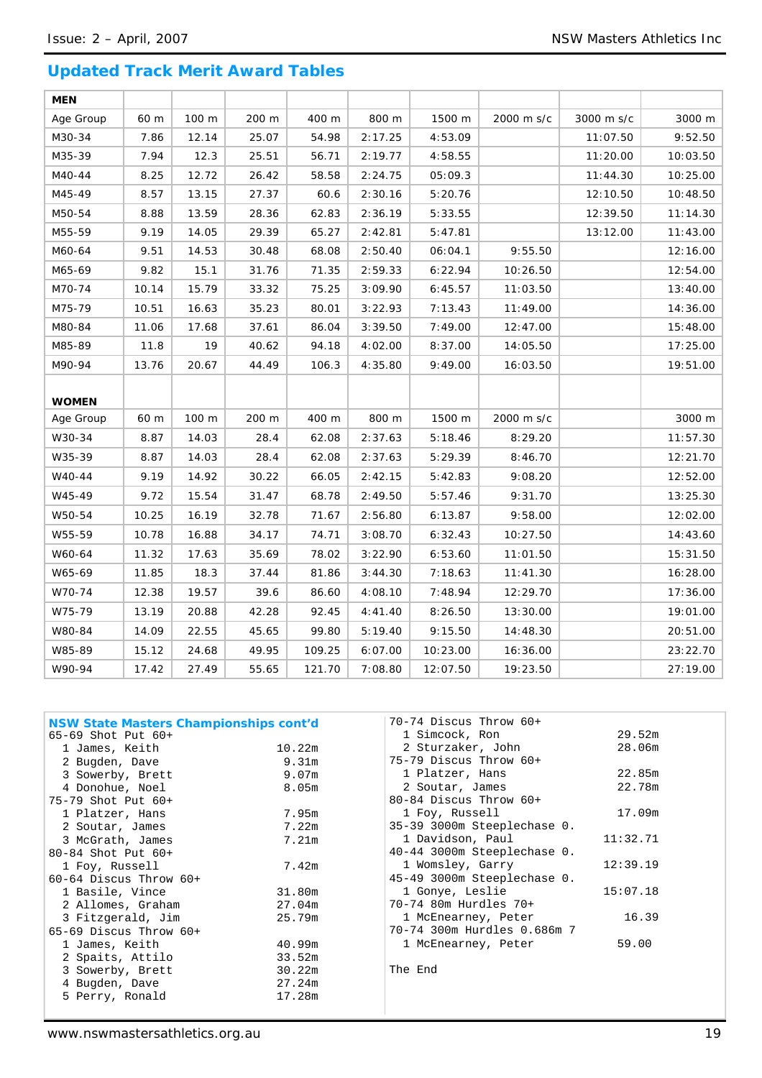# **Updated Track Merit Award Tables**

| <b>MEN</b>   |       |       |       |        |         |          |            |            |          |
|--------------|-------|-------|-------|--------|---------|----------|------------|------------|----------|
| Age Group    | 60 m  | 100 m | 200 m | 400 m  | 800 m   | 1500 m   | 2000 m s/c | 3000 m s/c | 3000 m   |
| M30-34       | 7.86  | 12.14 | 25.07 | 54.98  | 2:17.25 | 4:53.09  |            | 11:07.50   | 9:52.50  |
| M35-39       | 7.94  | 12.3  | 25.51 | 56.71  | 2:19.77 | 4:58.55  |            | 11:20.00   | 10:03.50 |
| M40-44       | 8.25  | 12.72 | 26.42 | 58.58  | 2:24.75 | 05:09.3  |            | 11:44.30   | 10:25.00 |
| M45-49       | 8.57  | 13.15 | 27.37 | 60.6   | 2:30.16 | 5:20.76  |            | 12:10.50   | 10:48.50 |
| M50-54       | 8.88  | 13.59 | 28.36 | 62.83  | 2:36.19 | 5:33.55  |            | 12:39.50   | 11:14.30 |
| M55-59       | 9.19  | 14.05 | 29.39 | 65.27  | 2:42.81 | 5:47.81  |            | 13:12.00   | 11:43.00 |
| M60-64       | 9.51  | 14.53 | 30.48 | 68.08  | 2:50.40 | 06:04.1  | 9:55.50    |            | 12:16.00 |
| M65-69       | 9.82  | 15.1  | 31.76 | 71.35  | 2:59.33 | 6:22.94  | 10:26.50   |            | 12:54.00 |
| M70-74       | 10.14 | 15.79 | 33.32 | 75.25  | 3:09.90 | 6:45.57  | 11:03.50   |            | 13:40.00 |
| M75-79       | 10.51 | 16.63 | 35.23 | 80.01  | 3:22.93 | 7:13.43  | 11:49.00   |            | 14:36.00 |
| M80-84       | 11.06 | 17.68 | 37.61 | 86.04  | 3:39.50 | 7:49.00  | 12:47.00   |            | 15:48.00 |
| M85-89       | 11.8  | 19    | 40.62 | 94.18  | 4:02.00 | 8:37.00  | 14:05.50   |            | 17:25.00 |
| M90-94       | 13.76 | 20.67 | 44.49 | 106.3  | 4:35.80 | 9:49.00  | 16:03.50   |            | 19:51.00 |
|              |       |       |       |        |         |          |            |            |          |
| <b>WOMEN</b> |       |       |       |        |         |          |            |            |          |
| Age Group    | 60 m  | 100 m | 200 m | 400 m  | 800 m   | 1500 m   | 2000 m s/c |            | 3000 m   |
| W30-34       | 8.87  | 14.03 | 28.4  | 62.08  | 2:37.63 | 5:18.46  | 8:29.20    |            | 11:57.30 |
| W35-39       | 8.87  | 14.03 | 28.4  | 62.08  | 2:37.63 | 5:29.39  | 8:46.70    |            | 12:21.70 |
| W40-44       | 9.19  | 14.92 | 30.22 | 66.05  | 2:42.15 | 5:42.83  | 9:08.20    |            | 12:52.00 |
| W45-49       | 9.72  | 15.54 | 31.47 | 68.78  | 2:49.50 | 5:57.46  | 9:31.70    |            | 13:25.30 |
| W50-54       | 10.25 | 16.19 | 32.78 | 71.67  | 2:56.80 | 6:13.87  | 9:58.00    |            | 12:02.00 |
| W55-59       | 10.78 | 16.88 | 34.17 | 74.71  | 3:08.70 | 6:32.43  | 10:27.50   |            | 14:43.60 |
| W60-64       | 11.32 | 17.63 | 35.69 | 78.02  | 3:22.90 | 6:53.60  | 11:01.50   |            | 15:31.50 |
| W65-69       | 11.85 | 18.3  | 37.44 | 81.86  | 3:44.30 | 7:18.63  | 11:41.30   |            | 16:28.00 |
| W70-74       | 12.38 | 19.57 | 39.6  | 86.60  | 4:08.10 | 7:48.94  | 12:29.70   |            | 17:36.00 |
| W75-79       | 13.19 | 20.88 | 42.28 | 92.45  | 4:41.40 | 8:26.50  | 13:30.00   |            | 19:01.00 |
| W80-84       | 14.09 | 22.55 | 45.65 | 99.80  | 5:19.40 | 9:15.50  | 14:48.30   |            | 20:51.00 |
| W85-89       | 15.12 | 24.68 | 49.95 | 109.25 | 6:07.00 | 10:23.00 | 16:36.00   |            | 23:22.70 |
| W90-94       | 17.42 | 27.49 | 55.65 | 121.70 | 7:08.80 | 12:07.50 | 19:23.50   |            | 27:19.00 |

| <b>NSW State Masters Championships cont'd</b> |                   |
|-----------------------------------------------|-------------------|
| 65-69 Shot Put 60+                            |                   |
| 1 James, Keith                                | 10.22m            |
| 2 Bugden, Dave                                | 9.31m             |
| 3 Sowerby, Brett                              | 9.07 <sub>m</sub> |
| 4 Donohue, Noel                               | 8.05m             |
| 75-79 Shot Put 60+                            |                   |
| 1 Platzer, Hans                               | 7.95m             |
| 2 Soutar, James                               | 7.22m             |
| 3 McGrath, James                              | 7.21m             |
| 80-84 Shot Put 60+                            |                   |
| 1 Foy, Russell                                | 7.42m             |
| $60-64$ Discus Throw $60+$                    |                   |
| 1 Basile, Vince                               | 31.80m            |
| 2 Allomes, Graham                             | 27.04m            |
| 3 Fitzgerald, Jim                             | 25.79m            |
| $65-69$ Discus Throw $60+$                    |                   |
| 1 James, Keith                                | 40.99m            |
| 2 Spaits, Attilo                              | 33.52m            |
| 3 Sowerby, Brett                              | 30.22m            |
| 4 Bugden, Dave                                | 27.24m            |
| 5 Perry, Ronald                               | 17.28m            |
|                                               |                   |

| 70-74 Discus Throw 60+      |          |
|-----------------------------|----------|
| 1 Simcock, Ron              | 29.52m   |
| 2 Sturzaker, John           | 28.06m   |
| 75-79 Discus Throw 60+      |          |
| 1 Platzer, Hans             | 22.85m   |
| 2 Soutar, James             | 22.78m   |
| $80-84$ Discus Throw $60+$  |          |
| 1 Foy, Russell              | 17.09m   |
| 35-39 3000m Steeplechase 0. |          |
| 1 Davidson, Paul            | 11:32.71 |
| 40-44 3000m Steeplechase 0. |          |
| 1 Womsley, Garry            | 12:39.19 |
| 45-49 3000m Steeplechase 0. |          |
| 1 Gonye, Leslie             | 15:07.18 |
| 70-74 80m Hurdles 70+       |          |
| 1 McEnearney, Peter         | 16.39    |
| 70-74 300m Hurdles 0.686m 7 |          |
| 1 McEnearney, Peter         | 59.00    |
|                             |          |
| The End                     |          |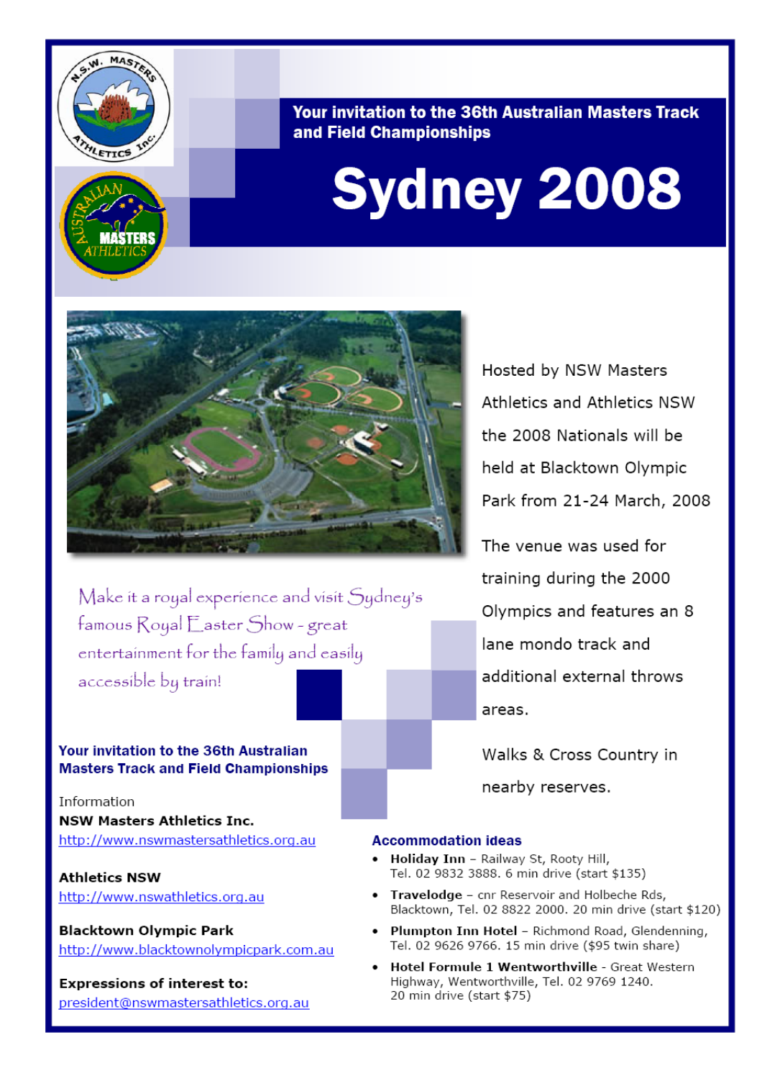



**Your invitation to the 36th Australian Masters Track** and Field Championships

# **Sydney 2008**



Make it a royal experience and visit Sydney's famous Royal Easter Show-great entertainment for the family and easily accessible by train!

### Your invitation to the 36th Australian **Masters Track and Field Championships**

Information **NSW Masters Athletics Inc.** http://www.nswmastersathletics.org.au

**Athletics NSW** http://www.nswathletics.org.au

**Blacktown Olympic Park** http://www.blacktownolympicpark.com.au

**Expressions of interest to:** president@nswmastersathletics.org.au Hosted by NSW Masters Athletics and Athletics NSW the 2008 Nationals will be held at Blacktown Olympic Park from 21-24 March, 2008

The venue was used for training during the 2000 Olympics and features an 8 lane mondo track and additional external throws areas.

Walks & Cross Country in nearby reserves.

### **Accommodation ideas**

- Holiday Inn Railway St, Rooty Hill, Tel. 02 9832 3888. 6 min drive (start \$135)
- Travelodge cnr Reservoir and Holbeche Rds, Blacktown, Tel. 02 8822 2000. 20 min drive (start \$120)
- Plumpton Inn Hotel Richmond Road, Glendenning, Tel. 02 9626 9766. 15 min drive (\$95 twin share)
- Hotel Formule 1 Wentworthville Great Western Highway, Wentworthville, Tel. 02 9769 1240. 20 min drive (start \$75)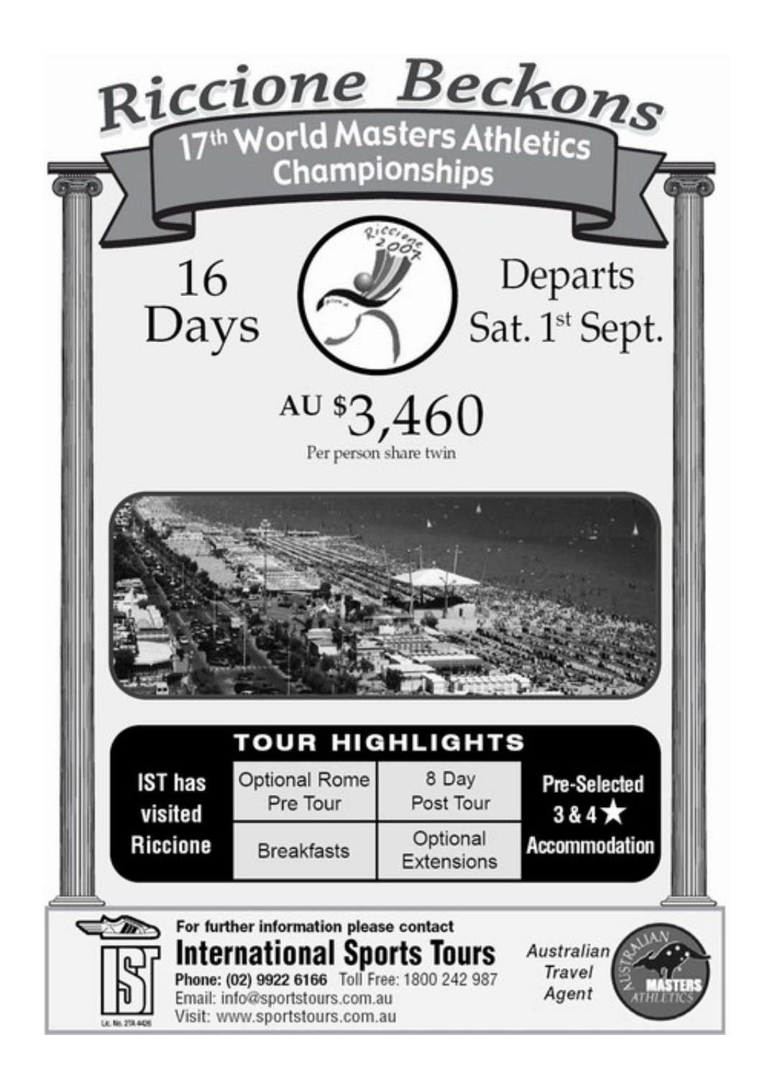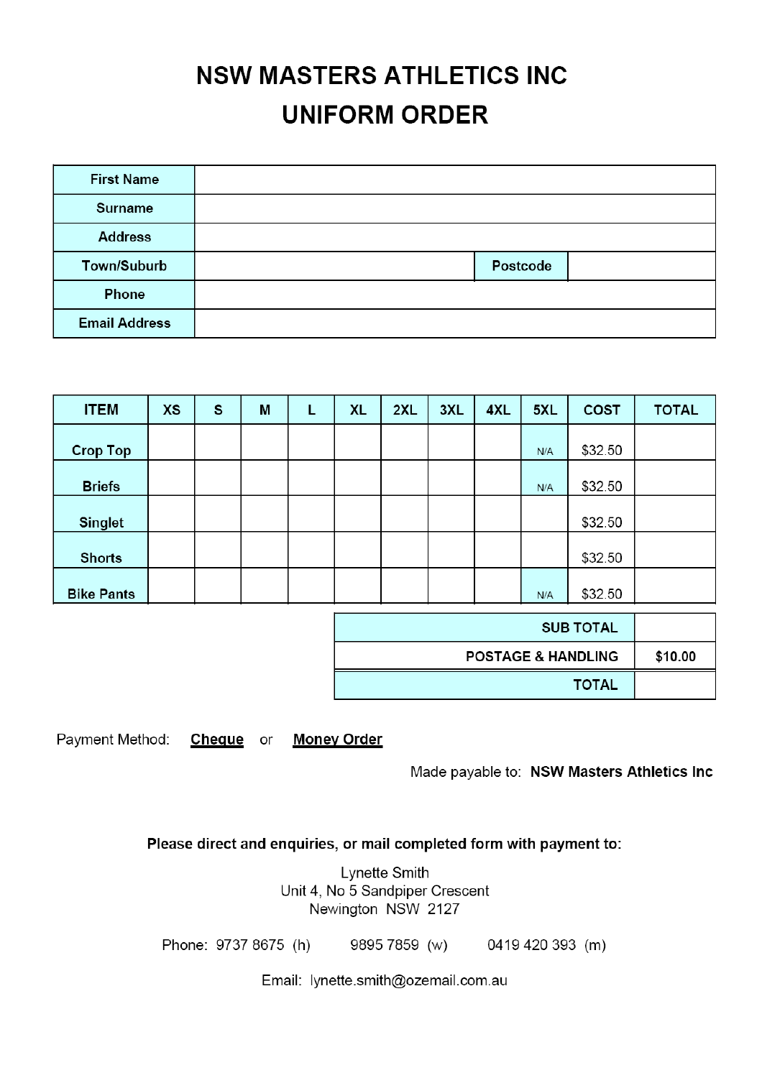# **NSW MASTERS ATHLETICS INC UNIFORM ORDER**

| <b>First Name</b>    |          |  |
|----------------------|----------|--|
| <b>Surname</b>       |          |  |
| <b>Address</b>       |          |  |
| Town/Suburb          | Postcode |  |
| Phone                |          |  |
| <b>Email Address</b> |          |  |

| <b>ITEM</b>       | <b>XS</b> | S | M | L | <b>XL</b> | 2XL | 3XL | 4XL | 5XL | <b>COST</b> | <b>TOTAL</b> |
|-------------------|-----------|---|---|---|-----------|-----|-----|-----|-----|-------------|--------------|
| <b>Crop Top</b>   |           |   |   |   |           |     |     |     | N/A | \$32.50     |              |
| <b>Briefs</b>     |           |   |   |   |           |     |     |     | N/A | \$32.50     |              |
| Singlet           |           |   |   |   |           |     |     |     |     | \$32.50     |              |
| <b>Shorts</b>     |           |   |   |   |           |     |     |     |     | \$32.50     |              |
| <b>Bike Pants</b> |           |   |   |   |           |     |     |     | N/A | \$32.50     |              |

| <b>SUB TOTAL</b>              |         |
|-------------------------------|---------|
| <b>POSTAGE &amp; HANDLING</b> | \$10.00 |
| <b>TOTAL</b>                  |         |

Payment Method: Cheque or **Money Order** 

Made payable to: NSW Masters Athletics Inc

Please direct and enquiries, or mail completed form with payment to:

Lynette Smith Unit 4, No 5 Sandpiper Crescent Newington NSW 2127

Phone: 9737 8675 (h) 9895 7859 (w) 0419 420 393 (m)

Email: lynette.smith@ozemail.com.au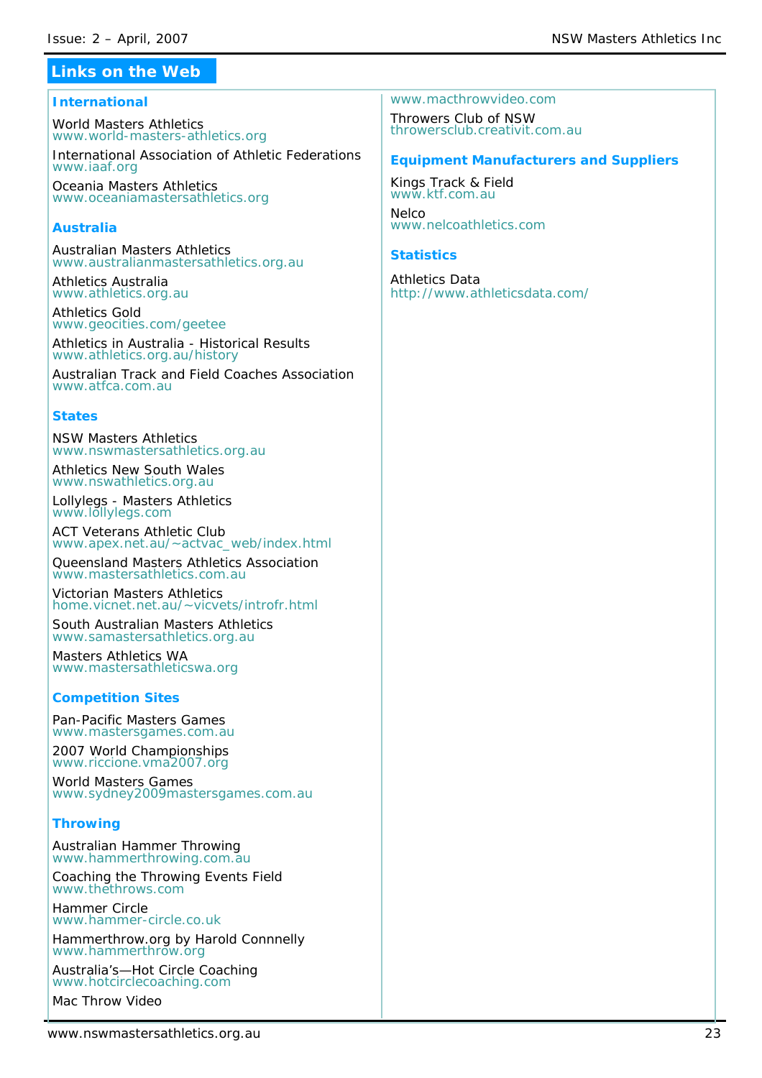## **Links on the Web**

### **International**

World Masters Athletics *www.world-masters-athletics.org*

International Association of Athletic Federations *www.iaaf.org*

Oceania Masters Athletics *www.oceaniamastersathletics.org*

### **Australia**

Australian Masters Athletics *www.australianmastersathletics.org.au*

Athletics Australia *www.athletics.org.au*

Athletics Gold *www.geocities.com/geetee*

Athletics in Australia - Historical Results *www.athletics.org.au/history* 

Australian Track and Field Coaches Association *www.atfca.com.au*

### **States**

NSW Masters Athletics *www.nswmastersathletics.org.au*

Athletics New South Wales *www.nswathletics.org.au*

Lollylegs - Masters Athletics *www.lollylegs.com*

ACT Veterans Athletic Club *www.apex.net.au/~actvac\_web/index.html*

Queensland Masters Athletics Association *www.mastersathletics.com.au* 

Victorian Masters Athletics *home.vicnet.net.au/~vicvets/introfr.html*

South Australian Masters Athletics *www.samastersathletics.org.au*

Masters Athletics WA *www.mastersathleticswa.org*

### **Competition Sites**

Pan-Pacific Masters Games *www.mastersgames.com.au*

2007 World Championships *www.riccione.vma2007.org*

World Masters Games *www.sydney2009mastersgames.com.au*

### **Throwing**

Australian Hammer Throwing *www.hammerthrowing.com.au*

Coaching the Throwing Events Field *www.thethrows.com*

Hammer Circle www.hammer-circle.co.uk

Hammerthrow.org by Harold Connnelly *www.hammerthrow.org*

Australia's—Hot Circle Coaching *www.hotcirclecoaching.com* Mac Throw Video

*www.macthrowvideo.com*

Throwers Club of NSW *throwersclub.creativit.com.au*

### **Equipment Manufacturers and Suppliers**

Kings Track & Field *www.ktf.com.au*

Nelco *www.nelcoathletics.com*

### **Statistics**

Athletics Data *http://www.athleticsdata.com/*